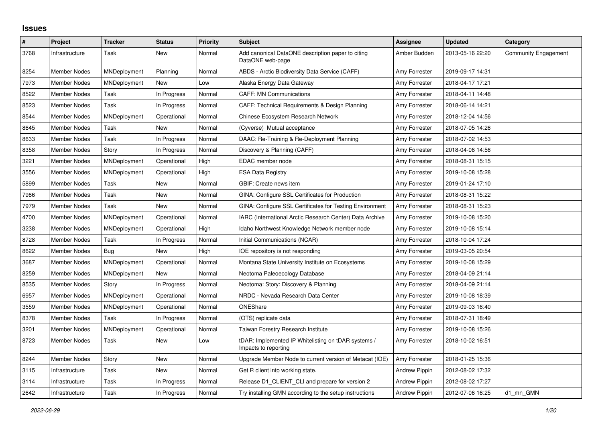## **Issues**

| $\sharp$ | Project             | <b>Tracker</b> | <b>Status</b> | <b>Priority</b> | <b>Subject</b>                                                              | Assignee             | <b>Updated</b>   | Category                    |
|----------|---------------------|----------------|---------------|-----------------|-----------------------------------------------------------------------------|----------------------|------------------|-----------------------------|
| 3768     | Infrastructure      | Task           | New           | Normal          | Add canonical DataONE description paper to citing<br>DataONE web-page       | Amber Budden         | 2013-05-16 22:20 | <b>Community Engagement</b> |
| 8254     | <b>Member Nodes</b> | MNDeployment   | Planning      | Normal          | ABDS - Arctic Biodiversity Data Service (CAFF)                              | Amy Forrester        | 2019-09-17 14:31 |                             |
| 7973     | <b>Member Nodes</b> | MNDeployment   | <b>New</b>    | Low             | Alaska Energy Data Gateway                                                  | Amy Forrester        | 2018-04-17 17:21 |                             |
| 8522     | Member Nodes        | Task           | In Progress   | Normal          | <b>CAFF: MN Communications</b>                                              | Amy Forrester        | 2018-04-11 14:48 |                             |
| 8523     | Member Nodes        | Task           | In Progress   | Normal          | CAFF: Technical Requirements & Design Planning                              | Amy Forrester        | 2018-06-14 14:21 |                             |
| 8544     | <b>Member Nodes</b> | MNDeployment   | Operational   | Normal          | Chinese Ecosystem Research Network                                          | Amy Forrester        | 2018-12-04 14:56 |                             |
| 8645     | Member Nodes        | Task           | New           | Normal          | (Cyverse) Mutual acceptance                                                 | Amy Forrester        | 2018-07-05 14:26 |                             |
| 8633     | Member Nodes        | Task           | In Progress   | Normal          | DAAC: Re-Training & Re-Deployment Planning                                  | Amy Forrester        | 2018-07-02 14:53 |                             |
| 8358     | <b>Member Nodes</b> | Story          | In Progress   | Normal          | Discovery & Planning (CAFF)                                                 | Amy Forrester        | 2018-04-06 14:56 |                             |
| 3221     | Member Nodes        | MNDeployment   | Operational   | High            | EDAC member node                                                            | Amy Forrester        | 2018-08-31 15:15 |                             |
| 3556     | Member Nodes        | MNDeployment   | Operational   | High            | <b>ESA Data Registry</b>                                                    | Amy Forrester        | 2019-10-08 15:28 |                             |
| 5899     | <b>Member Nodes</b> | Task           | <b>New</b>    | Normal          | GBIF: Create news item                                                      | Amy Forrester        | 2019-01-24 17:10 |                             |
| 7986     | Member Nodes        | Task           | <b>New</b>    | Normal          | GINA: Configure SSL Certificates for Production                             | Amy Forrester        | 2018-08-31 15:22 |                             |
| 7979     | Member Nodes        | Task           | New           | Normal          | GINA: Configure SSL Certificates for Testing Environment                    | Amy Forrester        | 2018-08-31 15:23 |                             |
| 4700     | <b>Member Nodes</b> | MNDeployment   | Operational   | Normal          | IARC (International Arctic Research Center) Data Archive                    | Amy Forrester        | 2019-10-08 15:20 |                             |
| 3238     | <b>Member Nodes</b> | MNDeployment   | Operational   | High            | Idaho Northwest Knowledge Network member node                               | Amy Forrester        | 2019-10-08 15:14 |                             |
| 8728     | Member Nodes        | Task           | In Progress   | Normal          | Initial Communications (NCAR)                                               | Amy Forrester        | 2018-10-04 17:24 |                             |
| 8622     | <b>Member Nodes</b> | Bug            | <b>New</b>    | High            | IOE repository is not responding                                            | Amy Forrester        | 2019-03-05 20:54 |                             |
| 3687     | <b>Member Nodes</b> | MNDeployment   | Operational   | Normal          | Montana State University Institute on Ecosystems                            | Amy Forrester        | 2019-10-08 15:29 |                             |
| 8259     | <b>Member Nodes</b> | MNDeployment   | <b>New</b>    | Normal          | Neotoma Paleoecology Database                                               | Amy Forrester        | 2018-04-09 21:14 |                             |
| 8535     | <b>Member Nodes</b> | Story          | In Progress   | Normal          | Neotoma: Story: Discovery & Planning                                        | Amy Forrester        | 2018-04-09 21:14 |                             |
| 6957     | <b>Member Nodes</b> | MNDeployment   | Operational   | Normal          | NRDC - Nevada Research Data Center                                          | Amy Forrester        | 2019-10-08 18:39 |                             |
| 3559     | <b>Member Nodes</b> | MNDeployment   | Operational   | Normal          | ONEShare                                                                    | Amy Forrester        | 2019-09-03 16:40 |                             |
| 8378     | Member Nodes        | Task           | In Progress   | Normal          | (OTS) replicate data                                                        | Amy Forrester        | 2018-07-31 18:49 |                             |
| 3201     | Member Nodes        | MNDeployment   | Operational   | Normal          | Taiwan Forestry Research Institute                                          | Amy Forrester        | 2019-10-08 15:26 |                             |
| 8723     | Member Nodes        | Task           | <b>New</b>    | Low             | tDAR: Implemented IP Whitelisting on tDAR systems /<br>Impacts to reporting | Amy Forrester        | 2018-10-02 16:51 |                             |
| 8244     | Member Nodes        | Story          | <b>New</b>    | Normal          | Upgrade Member Node to current version of Metacat (IOE)                     | Amy Forrester        | 2018-01-25 15:36 |                             |
| 3115     | Infrastructure      | Task           | New           | Normal          | Get R client into working state.                                            | <b>Andrew Pippin</b> | 2012-08-02 17:32 |                             |
| 3114     | Infrastructure      | Task           | In Progress   | Normal          | Release D1_CLIENT_CLI and prepare for version 2                             | <b>Andrew Pippin</b> | 2012-08-02 17:27 |                             |
| 2642     | Infrastructure      | Task           | In Progress   | Normal          | Try installing GMN according to the setup instructions                      | <b>Andrew Pippin</b> | 2012-07-06 16:25 | d1 mn GMN                   |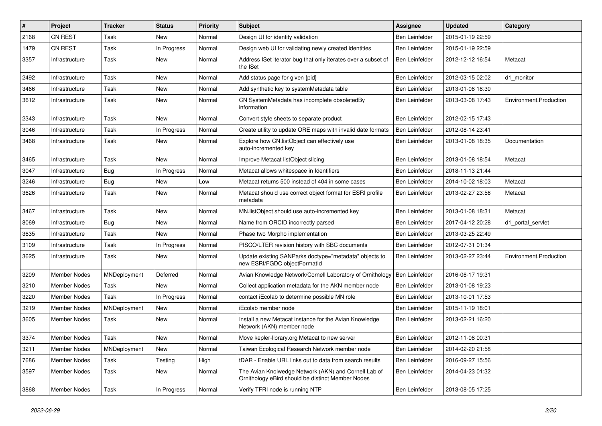| #    | Project             | <b>Tracker</b> | <b>Status</b> | <b>Priority</b> | Subject                                                                                                   | <b>Assignee</b>       | <b>Updated</b>   | Category               |
|------|---------------------|----------------|---------------|-----------------|-----------------------------------------------------------------------------------------------------------|-----------------------|------------------|------------------------|
| 2168 | <b>CN REST</b>      | Task           | New           | Normal          | Design UI for identity validation                                                                         | Ben Leinfelder        | 2015-01-19 22:59 |                        |
| 1479 | CN REST             | Task           | In Progress   | Normal          | Design web UI for validating newly created identities                                                     | Ben Leinfelder        | 2015-01-19 22:59 |                        |
| 3357 | Infrastructure      | Task           | New           | Normal          | Address ISet iterator bug that only iterates over a subset of<br>the ISet                                 | <b>Ben Leinfelder</b> | 2012-12-12 16:54 | Metacat                |
| 2492 | Infrastructure      | Task           | New           | Normal          | Add status page for given {pid}                                                                           | Ben Leinfelder        | 2012-03-15 02:02 | d1_monitor             |
| 3466 | Infrastructure      | Task           | New           | Normal          | Add synthetic key to systemMetadata table                                                                 | Ben Leinfelder        | 2013-01-08 18:30 |                        |
| 3612 | Infrastructure      | Task           | New           | Normal          | CN SystemMetadata has incomplete obsoletedBy<br>information                                               | <b>Ben Leinfelder</b> | 2013-03-08 17:43 | Environment.Production |
| 2343 | Infrastructure      | Task           | <b>New</b>    | Normal          | Convert style sheets to separate product                                                                  | Ben Leinfelder        | 2012-02-15 17:43 |                        |
| 3046 | Infrastructure      | Task           | In Progress   | Normal          | Create utility to update ORE maps with invalid date formats                                               | Ben Leinfelder        | 2012-08-14 23:41 |                        |
| 3468 | Infrastructure      | Task           | New           | Normal          | Explore how CN.listObject can effectively use<br>auto-incremented key                                     | Ben Leinfelder        | 2013-01-08 18:35 | Documentation          |
| 3465 | Infrastructure      | Task           | <b>New</b>    | Normal          | Improve Metacat listObject slicing                                                                        | Ben Leinfelder        | 2013-01-08 18:54 | Metacat                |
| 3047 | Infrastructure      | Bug            | In Progress   | Normal          | Metacat allows whitespace in Identifiers                                                                  | <b>Ben Leinfelder</b> | 2018-11-13 21:44 |                        |
| 3246 | Infrastructure      | <b>Bug</b>     | <b>New</b>    | Low             | Metacat returns 500 instead of 404 in some cases                                                          | Ben Leinfelder        | 2014-10-02 18:03 | Metacat                |
| 3626 | Infrastructure      | Task           | New           | Normal          | Metacat should use correct object format for ESRI profile<br>metadata                                     | <b>Ben Leinfelder</b> | 2013-02-27 23:56 | Metacat                |
| 3467 | Infrastructure      | Task           | <b>New</b>    | Normal          | MN.listObject should use auto-incremented key                                                             | Ben Leinfelder        | 2013-01-08 18:31 | Metacat                |
| 8069 | Infrastructure      | Bug            | New           | Normal          | Name from ORCID incorrectly parsed                                                                        | <b>Ben Leinfelder</b> | 2017-04-12 20:28 | d1 portal servlet      |
| 3635 | Infrastructure      | Task           | New           | Normal          | Phase two Morpho implementation                                                                           | Ben Leinfelder        | 2013-03-25 22:49 |                        |
| 3109 | Infrastructure      | Task           | In Progress   | Normal          | PISCO/LTER revision history with SBC documents                                                            | Ben Leinfelder        | 2012-07-31 01:34 |                        |
| 3625 | Infrastructure      | Task           | New           | Normal          | Update existing SANParks doctype="metadata" objects to<br>new ESRI/FGDC objectFormatId                    | Ben Leinfelder        | 2013-02-27 23:44 | Environment.Production |
| 3209 | <b>Member Nodes</b> | MNDeployment   | Deferred      | Normal          | Avian Knowledge Network/Cornell Laboratory of Ornithology                                                 | Ben Leinfelder        | 2016-06-17 19:31 |                        |
| 3210 | <b>Member Nodes</b> | Task           | New           | Normal          | Collect application metadata for the AKN member node                                                      | Ben Leinfelder        | 2013-01-08 19:23 |                        |
| 3220 | Member Nodes        | Task           | In Progress   | Normal          | contact iEcolab to determine possible MN role                                                             | <b>Ben Leinfelder</b> | 2013-10-01 17:53 |                        |
| 3219 | <b>Member Nodes</b> | MNDeployment   | New           | Normal          | iEcolab member node                                                                                       | Ben Leinfelder        | 2015-11-19 18:01 |                        |
| 3605 | Member Nodes        | Task           | New           | Normal          | Install a new Metacat instance for the Avian Knowledge<br>Network (AKN) member node                       | Ben Leinfelder        | 2013-02-21 16:20 |                        |
| 3374 | <b>Member Nodes</b> | Task           | New           | Normal          | Move kepler-library.org Metacat to new server                                                             | <b>Ben Leinfelder</b> | 2012-11-08 00:31 |                        |
| 3211 | Member Nodes        | MNDeployment   | New           | Normal          | Taiwan Ecological Research Network member node                                                            | Ben Leinfelder        | 2014-02-20 21:58 |                        |
| 7686 | Member Nodes        | Task           | Testing       | High            | tDAR - Enable URL links out to data from search results                                                   | Ben Leinfelder        | 2016-09-27 15:56 |                        |
| 3597 | Member Nodes        | Task           | New           | Normal          | The Avian Knolwedge Network (AKN) and Cornell Lab of<br>Ornithology eBird should be distinct Member Nodes | Ben Leinfelder        | 2014-04-23 01:32 |                        |
| 3868 | <b>Member Nodes</b> | Task           | In Progress   | Normal          | Verify TFRI node is running NTP                                                                           | Ben Leinfelder        | 2013-08-05 17:25 |                        |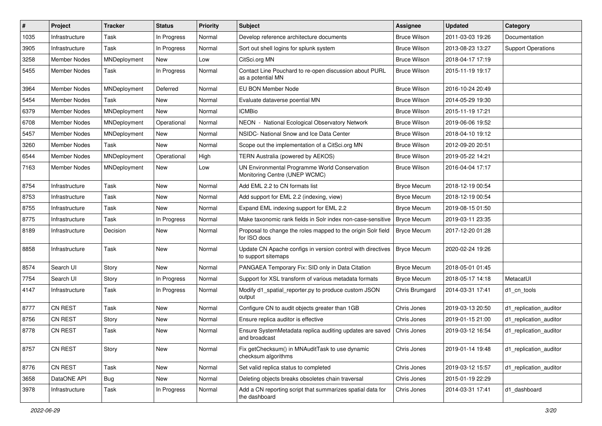| #    | Project             | <b>Tracker</b> | <b>Status</b> | <b>Priority</b> | Subject                                                                            | <b>Assignee</b>     | <b>Updated</b>   | Category                  |
|------|---------------------|----------------|---------------|-----------------|------------------------------------------------------------------------------------|---------------------|------------------|---------------------------|
| 1035 | Infrastructure      | Task           | In Progress   | Normal          | Develop reference architecture documents                                           | <b>Bruce Wilson</b> | 2011-03-03 19:26 | Documentation             |
| 3905 | Infrastructure      | Task           | In Progress   | Normal          | Sort out shell logins for splunk system                                            | <b>Bruce Wilson</b> | 2013-08-23 13:27 | <b>Support Operations</b> |
| 3258 | <b>Member Nodes</b> | MNDeployment   | New           | Low             | CitSci.org MN                                                                      | <b>Bruce Wilson</b> | 2018-04-17 17:19 |                           |
| 5455 | Member Nodes        | Task           | In Progress   | Normal          | Contact Line Pouchard to re-open discussion about PURL<br>as a potential MN        | <b>Bruce Wilson</b> | 2015-11-19 19:17 |                           |
| 3964 | <b>Member Nodes</b> | MNDeployment   | Deferred      | Normal          | EU BON Member Node                                                                 | <b>Bruce Wilson</b> | 2016-10-24 20:49 |                           |
| 5454 | Member Nodes        | Task           | <b>New</b>    | Normal          | Evaluate dataverse poential MN                                                     | <b>Bruce Wilson</b> | 2014-05-29 19:30 |                           |
| 6379 | <b>Member Nodes</b> | MNDeployment   | New           | Normal          | <b>ICMBio</b>                                                                      | <b>Bruce Wilson</b> | 2015-11-19 17:21 |                           |
| 6708 | <b>Member Nodes</b> | MNDeployment   | Operational   | Normal          | NEON - National Ecological Observatory Network                                     | <b>Bruce Wilson</b> | 2019-06-06 19:52 |                           |
| 5457 | <b>Member Nodes</b> | MNDeployment   | New           | Normal          | NSIDC- National Snow and Ice Data Center                                           | <b>Bruce Wilson</b> | 2018-04-10 19:12 |                           |
| 3260 | <b>Member Nodes</b> | Task           | New           | Normal          | Scope out the implementation of a CitSci.org MN                                    | <b>Bruce Wilson</b> | 2012-09-20 20:51 |                           |
| 6544 | <b>Member Nodes</b> | MNDeployment   | Operational   | High            | TERN Australia (powered by AEKOS)                                                  | <b>Bruce Wilson</b> | 2019-05-22 14:21 |                           |
| 7163 | Member Nodes        | MNDeployment   | New           | Low             | UN Environmental Programme World Conservation<br>Monitoring Centre (UNEP WCMC)     | <b>Bruce Wilson</b> | 2016-04-04 17:17 |                           |
| 8754 | Infrastructure      | Task           | <b>New</b>    | Normal          | Add EML 2.2 to CN formats list                                                     | <b>Bryce Mecum</b>  | 2018-12-19 00:54 |                           |
| 8753 | Infrastructure      | Task           | New           | Normal          | Add support for EML 2.2 (indexing, view)                                           | <b>Bryce Mecum</b>  | 2018-12-19 00:54 |                           |
| 8755 | Infrastructure      | Task           | New           | Normal          | Expand EML indexing support for EML 2.2                                            | <b>Bryce Mecum</b>  | 2019-08-15 01:50 |                           |
| 8775 | Infrastructure      | Task           | In Progress   | Normal          | Make taxonomic rank fields in Solr index non-case-sensitive                        | <b>Bryce Mecum</b>  | 2019-03-11 23:35 |                           |
| 8189 | Infrastructure      | Decision       | New           | Normal          | Proposal to change the roles mapped to the origin Solr field<br>for ISO docs       | <b>Bryce Mecum</b>  | 2017-12-20 01:28 |                           |
| 8858 | Infrastructure      | Task           | New           | Normal          | Update CN Apache configs in version control with directives<br>to support sitemaps | <b>Bryce Mecum</b>  | 2020-02-24 19:26 |                           |
| 8574 | Search UI           | Story          | <b>New</b>    | Normal          | PANGAEA Temporary Fix: SID only in Data Citation                                   | <b>Bryce Mecum</b>  | 2018-05-01 01:45 |                           |
| 7754 | Search UI           | Story          | In Progress   | Normal          | Support for XSL transform of various metadata formats                              | <b>Bryce Mecum</b>  | 2018-05-17 14:18 | MetacatUI                 |
| 4147 | Infrastructure      | Task           | In Progress   | Normal          | Modify d1_spatial_reporter.py to produce custom JSON<br>output                     | Chris Brumgard      | 2014-03-31 17:41 | d1 cn tools               |
| 8777 | CN REST             | Task           | New           | Normal          | Configure CN to audit objects greater than 1GB                                     | Chris Jones         | 2019-03-13 20:50 | d1_replication_auditor    |
| 8756 | CN REST             | Story          | New           | Normal          | Ensure replica auditor is effective                                                | Chris Jones         | 2019-01-15 21:00 | d1_replication_auditor    |
| 8778 | <b>CN REST</b>      | Task           | New           | Normal          | Ensure SystemMetadata replica auditing updates are saved<br>and broadcast          | Chris Jones         | 2019-03-12 16:54 | d1 replication auditor    |
| 8757 | CN REST             | Story          | New           | Normal          | Fix getChecksum() in MNAuditTask to use dynamic<br>checksum algorithms             | Chris Jones         | 2019-01-14 19:48 | d1 replication auditor    |
| 8776 | CN REST             | Task           | New           | Normal          | Set valid replica status to completed                                              | Chris Jones         | 2019-03-12 15:57 | d1_replication_auditor    |
| 3658 | DataONE API         | Bug            | New           | Normal          | Deleting objects breaks obsoletes chain traversal                                  | Chris Jones         | 2015-01-19 22:29 |                           |
| 3978 | Infrastructure      | Task           | In Progress   | Normal          | Add a CN reporting script that summarizes spatial data for<br>the dashboard        | Chris Jones         | 2014-03-31 17:41 | d1 dashboard              |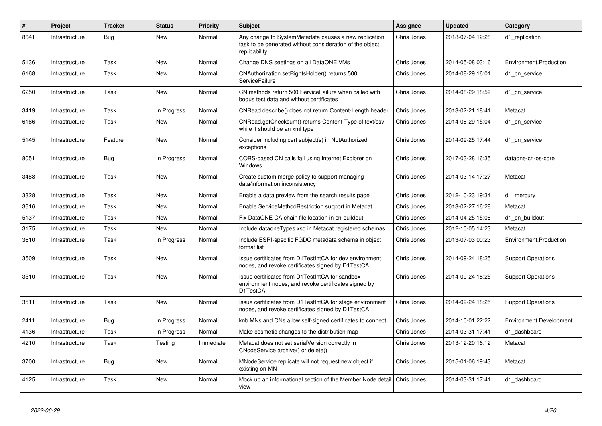| $\#$ | Project        | <b>Tracker</b> | <b>Status</b> | <b>Priority</b> | <b>Subject</b>                                                                                                                     | Assignee    | <b>Updated</b>   | Category                  |
|------|----------------|----------------|---------------|-----------------|------------------------------------------------------------------------------------------------------------------------------------|-------------|------------------|---------------------------|
| 8641 | Infrastructure | Bug            | New           | Normal          | Any change to SystemMetadata causes a new replication<br>task to be generated without consideration of the object<br>replicability | Chris Jones | 2018-07-04 12:28 | d1_replication            |
| 5136 | Infrastructure | Task           | <b>New</b>    | Normal          | Change DNS seetings on all DataONE VMs                                                                                             | Chris Jones | 2014-05-08 03:16 | Environment.Production    |
| 6168 | Infrastructure | Task           | <b>New</b>    | Normal          | CNAuthorization.setRightsHolder() returns 500<br>ServiceFailure                                                                    | Chris Jones | 2014-08-29 16:01 | d1 cn service             |
| 6250 | Infrastructure | Task           | New           | Normal          | CN methods return 500 ServiceFailure when called with<br>bogus test data and without certificates                                  | Chris Jones | 2014-08-29 18:59 | d1 cn service             |
| 3419 | Infrastructure | Task           | In Progress   | Normal          | CNRead.describe() does not return Content-Length header                                                                            | Chris Jones | 2013-02-21 18:41 | Metacat                   |
| 6166 | Infrastructure | Task           | New           | Normal          | CNRead.getChecksum() returns Content-Type of text/csv<br>while it should be an xml type                                            | Chris Jones | 2014-08-29 15:04 | d1 cn service             |
| 5145 | Infrastructure | Feature        | New           | Normal          | Consider including cert subject(s) in NotAuthorized<br>exceptions                                                                  | Chris Jones | 2014-09-25 17:44 | d1 cn service             |
| 8051 | Infrastructure | Bug            | In Progress   | Normal          | CORS-based CN calls fail using Internet Explorer on<br><b>Windows</b>                                                              | Chris Jones | 2017-03-28 16:35 | dataone-cn-os-core        |
| 3488 | Infrastructure | Task           | New           | Normal          | Create custom merge policy to support managing<br>data/information inconsistency                                                   | Chris Jones | 2014-03-14 17:27 | Metacat                   |
| 3328 | Infrastructure | Task           | <b>New</b>    | Normal          | Enable a data preview from the search results page                                                                                 | Chris Jones | 2012-10-23 19:34 | d1 mercury                |
| 3616 | Infrastructure | Task           | <b>New</b>    | Normal          | Enable ServiceMethodRestriction support in Metacat                                                                                 | Chris Jones | 2013-02-27 16:28 | Metacat                   |
| 5137 | Infrastructure | Task           | <b>New</b>    | Normal          | Fix DataONE CA chain file location in cn-buildout                                                                                  | Chris Jones | 2014-04-25 15:06 | d1 cn buildout            |
| 3175 | Infrastructure | Task           | New           | Normal          | Include dataone Types xsd in Metacat registered schemas                                                                            | Chris Jones | 2012-10-05 14:23 | Metacat                   |
| 3610 | Infrastructure | Task           | In Progress   | Normal          | Include ESRI-specific FGDC metadata schema in object<br>format list                                                                | Chris Jones | 2013-07-03 00:23 | Environment.Production    |
| 3509 | Infrastructure | Task           | <b>New</b>    | Normal          | Issue certificates from D1TestIntCA for dev environment<br>nodes, and revoke certificates signed by D1TestCA                       | Chris Jones | 2014-09-24 18:25 | <b>Support Operations</b> |
| 3510 | Infrastructure | Task           | <b>New</b>    | Normal          | Issue certificates from D1TestIntCA for sandbox<br>environment nodes, and revoke certificates signed by<br>D1TestCA                | Chris Jones | 2014-09-24 18:25 | <b>Support Operations</b> |
| 3511 | Infrastructure | Task           | <b>New</b>    | Normal          | Issue certificates from D1TestIntCA for stage environment<br>nodes, and revoke certificates signed by D1TestCA                     | Chris Jones | 2014-09-24 18:25 | <b>Support Operations</b> |
| 2411 | Infrastructure | Bug            | In Progress   | Normal          | knb MNs and CNs allow self-signed certificates to connect                                                                          | Chris Jones | 2014-10-01 22:22 | Environment.Development   |
| 4136 | Infrastructure | Task           | In Progress   | Normal          | Make cosmetic changes to the distribution map                                                                                      | Chris Jones | 2014-03-31 17:41 | d1 dashboard              |
| 4210 | Infrastructure | Task           | Testing       | Immediate       | Metacat does not set serialVersion correctly in<br>CNodeService archive() or delete()                                              | Chris Jones | 2013-12-20 16:12 | Metacat                   |
| 3700 | Infrastructure | Bug            | New           | Normal          | MNodeService.replicate will not request new object if<br>existing on MN                                                            | Chris Jones | 2015-01-06 19:43 | Metacat                   |
| 4125 | Infrastructure | Task           | <b>New</b>    | Normal          | Mock up an informational section of the Member Node detail<br>view                                                                 | Chris Jones | 2014-03-31 17:41 | d1 dashboard              |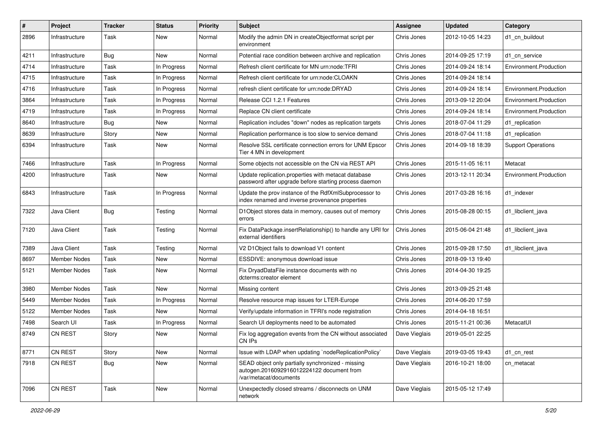| #    | Project             | <b>Tracker</b> | <b>Status</b> | <b>Priority</b> | <b>Subject</b>                                                                                                           | <b>Assignee</b> | <b>Updated</b>   | Category                  |
|------|---------------------|----------------|---------------|-----------------|--------------------------------------------------------------------------------------------------------------------------|-----------------|------------------|---------------------------|
| 2896 | Infrastructure      | Task           | New           | Normal          | Modify the admin DN in createObjectformat script per<br>environment                                                      | Chris Jones     | 2012-10-05 14:23 | d1 cn buildout            |
| 4211 | Infrastructure      | Bug            | New           | Normal          | Potential race condition between archive and replication                                                                 | Chris Jones     | 2014-09-25 17:19 | d1 cn service             |
| 4714 | Infrastructure      | Task           | In Progress   | Normal          | Refresh client certificate for MN urn:node:TFRI                                                                          | Chris Jones     | 2014-09-24 18:14 | Environment.Production    |
| 4715 | Infrastructure      | Task           | In Progress   | Normal          | Refresh client certificate for urn:node:CLOAKN                                                                           | Chris Jones     | 2014-09-24 18:14 |                           |
| 4716 | Infrastructure      | Task           | In Progress   | Normal          | refresh client certificate for urn:node:DRYAD                                                                            | Chris Jones     | 2014-09-24 18:14 | Environment.Production    |
| 3864 | Infrastructure      | Task           | In Progress   | Normal          | Release CCI 1.2.1 Features                                                                                               | Chris Jones     | 2013-09-12 20:04 | Environment.Production    |
| 4719 | Infrastructure      | Task           | In Progress   | Normal          | Replace CN client certificate                                                                                            | Chris Jones     | 2014-09-24 18:14 | Environment.Production    |
| 8640 | Infrastructure      | Bug            | New           | Normal          | Replication includes "down" nodes as replication targets                                                                 | Chris Jones     | 2018-07-04 11:29 | d1_replication            |
| 8639 | Infrastructure      | Story          | <b>New</b>    | Normal          | Replication performance is too slow to service demand                                                                    | Chris Jones     | 2018-07-04 11:18 | d1 replication            |
| 6394 | Infrastructure      | Task           | New           | Normal          | Resolve SSL certificate connection errors for UNM Epscor<br>Tier 4 MN in development                                     | Chris Jones     | 2014-09-18 18:39 | <b>Support Operations</b> |
| 7466 | Infrastructure      | Task           | In Progress   | Normal          | Some objects not accessible on the CN via REST API                                                                       | Chris Jones     | 2015-11-05 16:11 | Metacat                   |
| 4200 | Infrastructure      | Task           | New           | Normal          | Update replication.properties with metacat database<br>password after upgrade before starting process daemon             | Chris Jones     | 2013-12-11 20:34 | Environment.Production    |
| 6843 | Infrastructure      | Task           | In Progress   | Normal          | Update the prov instance of the RdfXmlSubprocessor to<br>index renamed and inverse provenance properties                 | Chris Jones     | 2017-03-28 16:16 | d1 indexer                |
| 7322 | Java Client         | <b>Bug</b>     | Testing       | Normal          | D1Object stores data in memory, causes out of memory<br>errors                                                           | Chris Jones     | 2015-08-28 00:15 | d1 libclient java         |
| 7120 | Java Client         | Task           | Testing       | Normal          | Fix DataPackage.insertRelationship() to handle any URI for<br>external identifiers                                       | Chris Jones     | 2015-06-04 21:48 | d1 libclient java         |
| 7389 | Java Client         | Task           | Testing       | Normal          | V2 D1Object fails to download V1 content                                                                                 | Chris Jones     | 2015-09-28 17:50 | d1 libclient java         |
| 8697 | Member Nodes        | Task           | New           | Normal          | ESSDIVE: anonymous download issue                                                                                        | Chris Jones     | 2018-09-13 19:40 |                           |
| 5121 | Member Nodes        | Task           | New           | Normal          | Fix DryadDataFile instance documents with no<br>dcterms:creator element                                                  | Chris Jones     | 2014-04-30 19:25 |                           |
| 3980 | <b>Member Nodes</b> | Task           | <b>New</b>    | Normal          | Missing content                                                                                                          | Chris Jones     | 2013-09-25 21:48 |                           |
| 5449 | <b>Member Nodes</b> | Task           | In Progress   | Normal          | Resolve resource map issues for LTER-Europe                                                                              | Chris Jones     | 2014-06-20 17:59 |                           |
| 5122 | <b>Member Nodes</b> | Task           | <b>New</b>    | Normal          | Verify/update information in TFRI's node registration                                                                    | Chris Jones     | 2014-04-18 16:51 |                           |
| 7498 | Search UI           | Task           | In Progress   | Normal          | Search UI deployments need to be automated                                                                               | Chris Jones     | 2015-11-21 00:36 | MetacatUI                 |
| 8749 | CN REST             | Story          | New           | Normal          | Fix log aggregation events from the CN without associated<br>CN IPs                                                      | Dave Vieglais   | 2019-05-01 22:25 |                           |
| 8771 | CN REST             | Story          | New           | Normal          | Issue with LDAP when updating `nodeReplicationPolicy`                                                                    | Dave Vieglais   | 2019-03-05 19:43 | d1 cn rest                |
| 7918 | CN REST             | <b>Bug</b>     | New           | Normal          | SEAD object only partially synchronized - missing<br>autogen.2016092916012224122 document from<br>/var/metacat/documents | Dave Vieglais   | 2016-10-21 18:00 | cn_metacat                |
| 7096 | CN REST             | Task           | New           | Normal          | Unexpectedly closed streams / disconnects on UNM<br>network                                                              | Dave Vieglais   | 2015-05-12 17:49 |                           |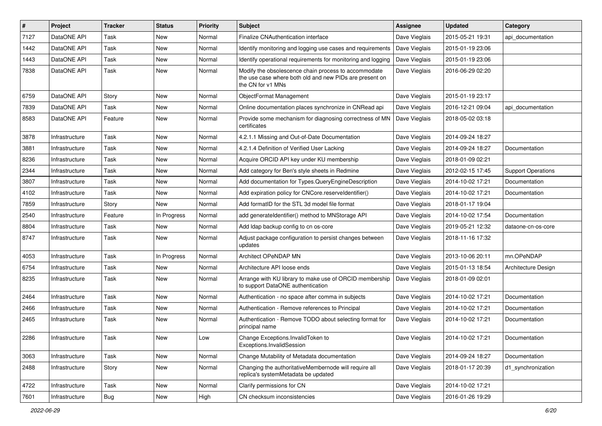| #    | Project        | <b>Tracker</b> | <b>Status</b> | <b>Priority</b> | <b>Subject</b>                                                                                                                       | Assignee      | <b>Updated</b>   | Category                  |
|------|----------------|----------------|---------------|-----------------|--------------------------------------------------------------------------------------------------------------------------------------|---------------|------------------|---------------------------|
| 7127 | DataONE API    | Task           | New           | Normal          | <b>Finalize CNAuthentication interface</b>                                                                                           | Dave Vieglais | 2015-05-21 19:31 | api documentation         |
| 1442 | DataONE API    | Task           | New           | Normal          | Identify monitoring and logging use cases and requirements                                                                           | Dave Vieglais | 2015-01-19 23:06 |                           |
| 1443 | DataONE API    | Task           | New           | Normal          | Identify operational requirements for monitoring and logging                                                                         | Dave Vieglais | 2015-01-19 23:06 |                           |
| 7838 | DataONE API    | Task           | New           | Normal          | Modify the obsolescence chain process to accommodate<br>the use case where both old and new PIDs are present on<br>the CN for v1 MNs | Dave Vieglais | 2016-06-29 02:20 |                           |
| 6759 | DataONE API    | Story          | New           | Normal          | ObjectFormat Management                                                                                                              | Dave Vieglais | 2015-01-19 23:17 |                           |
| 7839 | DataONE API    | Task           | New           | Normal          | Online documentation places synchronize in CNRead api                                                                                | Dave Vieglais | 2016-12-21 09:04 | api documentation         |
| 8583 | DataONE API    | Feature        | New           | Normal          | Provide some mechanism for diagnosing correctness of MN<br>certificates                                                              | Dave Vieglais | 2018-05-02 03:18 |                           |
| 3878 | Infrastructure | Task           | New           | Normal          | 4.2.1.1 Missing and Out-of-Date Documentation                                                                                        | Dave Vieglais | 2014-09-24 18:27 |                           |
| 3881 | Infrastructure | Task           | New           | Normal          | 4.2.1.4 Definition of Verified User Lacking                                                                                          | Dave Vieglais | 2014-09-24 18:27 | Documentation             |
| 8236 | Infrastructure | Task           | New           | Normal          | Acquire ORCID API key under KU membership                                                                                            | Dave Vieglais | 2018-01-09 02:21 |                           |
| 2344 | Infrastructure | Task           | New           | Normal          | Add category for Ben's style sheets in Redmine                                                                                       | Dave Vieglais | 2012-02-15 17:45 | <b>Support Operations</b> |
| 3807 | Infrastructure | Task           | New           | Normal          | Add documentation for Types.QueryEngineDescription                                                                                   | Dave Vieglais | 2014-10-02 17:21 | Documentation             |
| 4102 | Infrastructure | Task           | New           | Normal          | Add expiration policy for CNCore.reserveldentifier()                                                                                 | Dave Vieglais | 2014-10-02 17:21 | Documentation             |
| 7859 | Infrastructure | Story          | New           | Normal          | Add formatID for the STL 3d model file format                                                                                        | Dave Vieglais | 2018-01-17 19:04 |                           |
| 2540 | Infrastructure | Feature        | In Progress   | Normal          | add generateIdentifier() method to MNStorage API                                                                                     | Dave Vieglais | 2014-10-02 17:54 | Documentation             |
| 8804 | Infrastructure | Task           | New           | Normal          | Add Idap backup config to cn os-core                                                                                                 | Dave Vieglais | 2019-05-21 12:32 | dataone-cn-os-core        |
| 8747 | Infrastructure | Task           | New           | Normal          | Adjust package configuration to persist changes between<br>updates                                                                   | Dave Vieglais | 2018-11-16 17:32 |                           |
| 4053 | Infrastructure | Task           | In Progress   | Normal          | Architect OPeNDAP MN                                                                                                                 | Dave Vieglais | 2013-10-06 20:11 | mn.OPeNDAP                |
| 6754 | Infrastructure | Task           | New           | Normal          | Architecture API loose ends                                                                                                          | Dave Vieglais | 2015-01-13 18:54 | Architecture Design       |
| 8235 | Infrastructure | Task           | New           | Normal          | Arrange with KU library to make use of ORCID membership<br>to support DataONE authentication                                         | Dave Vieglais | 2018-01-09 02:01 |                           |
| 2464 | Infrastructure | Task           | New           | Normal          | Authentication - no space after comma in subjects                                                                                    | Dave Vieglais | 2014-10-02 17:21 | Documentation             |
| 2466 | Infrastructure | Task           | New           | Normal          | Authentication - Remove references to Principal                                                                                      | Dave Vieglais | 2014-10-02 17:21 | Documentation             |
| 2465 | Infrastructure | Task           | New           | Normal          | Authentication - Remove TODO about selecting format for<br>principal name                                                            | Dave Vieglais | 2014-10-02 17:21 | Documentation             |
| 2286 | Infrastructure | Task           | New           | Low             | Change Exceptions. Invalid Token to<br>Exceptions.InvalidSession                                                                     | Dave Vieglais | 2014-10-02 17:21 | Documentation             |
| 3063 | Infrastructure | Task           | New           | Normal          | Change Mutability of Metadata documentation                                                                                          | Dave Vieglais | 2014-09-24 18:27 | Documentation             |
| 2488 | Infrastructure | Story          | New           | Normal          | Changing the authoritativeMembernode will require all<br>replica's systemMetadata be updated                                         | Dave Vieglais | 2018-01-17 20:39 | d1_synchronization        |
| 4722 | Infrastructure | Task           | New           | Normal          | Clarify permissions for CN                                                                                                           | Dave Vieglais | 2014-10-02 17:21 |                           |
| 7601 | Infrastructure | Bug            | New           | High            | CN checksum inconsistencies                                                                                                          | Dave Vieglais | 2016-01-26 19:29 |                           |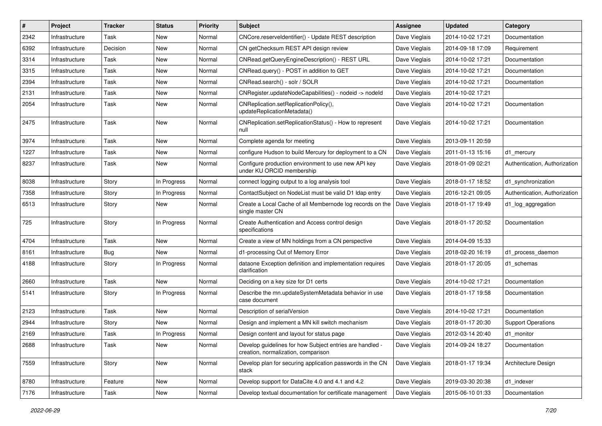| #    | Project        | <b>Tracker</b> | <b>Status</b> | <b>Priority</b> | <b>Subject</b>                                                                                  | <b>Assignee</b> | <b>Updated</b>   | Category                      |
|------|----------------|----------------|---------------|-----------------|-------------------------------------------------------------------------------------------------|-----------------|------------------|-------------------------------|
| 2342 | Infrastructure | Task           | New           | Normal          | CNCore.reserveldentifier() - Update REST description                                            | Dave Vieglais   | 2014-10-02 17:21 | Documentation                 |
| 6392 | Infrastructure | Decision       | <b>New</b>    | Normal          | CN getChecksum REST API design review                                                           | Dave Vieglais   | 2014-09-18 17:09 | Requirement                   |
| 3314 | Infrastructure | Task           | New           | Normal          | CNRead.getQueryEngineDescription() - REST URL                                                   | Dave Vieglais   | 2014-10-02 17:21 | Documentation                 |
| 3315 | Infrastructure | Task           | New           | Normal          | CNRead.query() - POST in addition to GET                                                        | Dave Vieglais   | 2014-10-02 17:21 | Documentation                 |
| 2394 | Infrastructure | Task           | New           | Normal          | CNRead.search() - solr / SOLR                                                                   | Dave Vieglais   | 2014-10-02 17:21 | Documentation                 |
| 2131 | Infrastructure | Task           | New           | Normal          | CNRegister.updateNodeCapabilities() - nodeid -> nodeld                                          | Dave Vieglais   | 2014-10-02 17:21 |                               |
| 2054 | Infrastructure | Task           | New           | Normal          | CNReplication.setReplicationPolicy(),<br>updateReplicationMetadata()                            | Dave Vieglais   | 2014-10-02 17:21 | Documentation                 |
| 2475 | Infrastructure | Task           | New           | Normal          | CNReplication.setReplicationStatus() - How to represent<br>null                                 | Dave Vieglais   | 2014-10-02 17:21 | Documentation                 |
| 3974 | Infrastructure | Task           | New           | Normal          | Complete agenda for meeting                                                                     | Dave Vieglais   | 2013-09-11 20:59 |                               |
| 1227 | Infrastructure | Task           | New           | Normal          | configure Hudson to build Mercury for deployment to a CN                                        | Dave Vieglais   | 2011-01-13 15:16 | d1_mercury                    |
| 8237 | Infrastructure | Task           | New           | Normal          | Configure production environment to use new API key<br>under KU ORCID membership                | Dave Vieglais   | 2018-01-09 02:21 | Authentication, Authorization |
| 8038 | Infrastructure | Story          | In Progress   | Normal          | connect logging output to a log analysis tool                                                   | Dave Vieglais   | 2018-01-17 18:52 | d1 synchronization            |
| 7358 | Infrastructure | Story          | In Progress   | Normal          | ContactSubject on NodeList must be valid D1 Idap entry                                          | Dave Vieglais   | 2016-12-21 09:05 | Authentication, Authorization |
| 6513 | Infrastructure | Story          | New           | Normal          | Create a Local Cache of all Membernode log records on the<br>single master CN                   | Dave Vieglais   | 2018-01-17 19:49 | d1_log_aggregation            |
| 725  | Infrastructure | Story          | In Progress   | Normal          | Create Authentication and Access control design<br>specifications                               | Dave Vieglais   | 2018-01-17 20:52 | Documentation                 |
| 4704 | Infrastructure | Task           | New           | Normal          | Create a view of MN holdings from a CN perspective                                              | Dave Vieglais   | 2014-04-09 15:33 |                               |
| 8161 | Infrastructure | <b>Bug</b>     | New           | Normal          | d1-processing Out of Memory Error                                                               | Dave Vieglais   | 2018-02-20 16:19 | d1_process_daemon             |
| 4188 | Infrastructure | Story          | In Progress   | Normal          | dataone Exception definition and implementation requires<br>clarification                       | Dave Vieglais   | 2018-01-17 20:05 | d1 schemas                    |
| 2660 | Infrastructure | Task           | New           | Normal          | Deciding on a key size for D1 certs                                                             | Dave Vieglais   | 2014-10-02 17:21 | Documentation                 |
| 5141 | Infrastructure | Story          | In Progress   | Normal          | Describe the mn.updateSystemMetadata behavior in use<br>case document                           | Dave Vieglais   | 2018-01-17 19:58 | Documentation                 |
| 2123 | Infrastructure | Task           | New           | Normal          | Description of serialVersion                                                                    | Dave Vieglais   | 2014-10-02 17:21 | Documentation                 |
| 2944 | Infrastructure | Story          | New           | Normal          | Design and implement a MN kill switch mechanism                                                 | Dave Vieglais   | 2018-01-17 20:30 | <b>Support Operations</b>     |
| 2169 | Infrastructure | Task           | In Progress   | Normal          | Design content and layout for status page                                                       | Dave Vieglais   | 2012-03-14 20:40 | d1 monitor                    |
| 2688 | Infrastructure | Task           | New           | Normal          | Develop guidelines for how Subject entries are handled -<br>creation, normalization, comparison | Dave Vieglais   | 2014-09-24 18:27 | Documentation                 |
| 7559 | Infrastructure | Story          | New           | Normal          | Develop plan for securing application passwords in the CN<br>stack                              | Dave Vieglais   | 2018-01-17 19:34 | Architecture Design           |
| 8780 | Infrastructure | Feature        | New           | Normal          | Develop support for DataCite 4.0 and 4.1 and 4.2                                                | Dave Vieglais   | 2019-03-30 20:38 | d1_indexer                    |
| 7176 | Infrastructure | Task           | New           | Normal          | Develop textual documentation for certificate management                                        | Dave Vieglais   | 2015-06-10 01:33 | Documentation                 |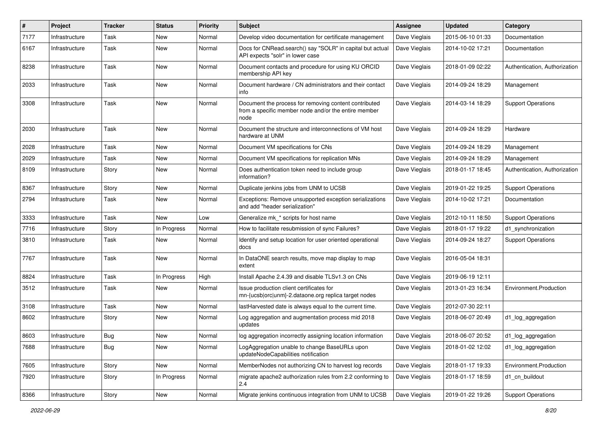| #    | Project        | <b>Tracker</b> | <b>Status</b> | <b>Priority</b> | <b>Subject</b>                                                                                                        | Assignee      | <b>Updated</b>   | Category                      |
|------|----------------|----------------|---------------|-----------------|-----------------------------------------------------------------------------------------------------------------------|---------------|------------------|-------------------------------|
| 7177 | Infrastructure | Task           | <b>New</b>    | Normal          | Develop video documentation for certificate management                                                                | Dave Vieglais | 2015-06-10 01:33 | Documentation                 |
| 6167 | Infrastructure | Task           | New           | Normal          | Docs for CNRead.search() say "SOLR" in capital but actual<br>API expects "solr" in lower case                         | Dave Vieglais | 2014-10-02 17:21 | Documentation                 |
| 8238 | Infrastructure | Task           | <b>New</b>    | Normal          | Document contacts and procedure for using KU ORCID<br>membership API key                                              | Dave Vieglais | 2018-01-09 02:22 | Authentication, Authorization |
| 2033 | Infrastructure | Task           | <b>New</b>    | Normal          | Document hardware / CN administrators and their contact<br>info                                                       | Dave Vieglais | 2014-09-24 18:29 | Management                    |
| 3308 | Infrastructure | Task           | <b>New</b>    | Normal          | Document the process for removing content contributed<br>from a specific member node and/or the entire member<br>node | Dave Vieglais | 2014-03-14 18:29 | <b>Support Operations</b>     |
| 2030 | Infrastructure | Task           | New           | Normal          | Document the structure and interconnections of VM host<br>hardware at UNM                                             | Dave Vieglais | 2014-09-24 18:29 | Hardware                      |
| 2028 | Infrastructure | Task           | <b>New</b>    | Normal          | Document VM specifications for CNs                                                                                    | Dave Vieglais | 2014-09-24 18:29 | Management                    |
| 2029 | Infrastructure | Task           | <b>New</b>    | Normal          | Document VM specifications for replication MNs                                                                        | Dave Vieglais | 2014-09-24 18:29 | Management                    |
| 8109 | Infrastructure | Story          | New           | Normal          | Does authentication token need to include group<br>information?                                                       | Dave Vieglais | 2018-01-17 18:45 | Authentication, Authorization |
| 8367 | Infrastructure | Story          | <b>New</b>    | Normal          | Duplicate jenkins jobs from UNM to UCSB                                                                               | Dave Vieglais | 2019-01-22 19:25 | <b>Support Operations</b>     |
| 2794 | Infrastructure | Task           | New           | Normal          | Exceptions: Remove unsupported exception serializations<br>and add "header serialization"                             | Dave Vieglais | 2014-10-02 17:21 | Documentation                 |
| 3333 | Infrastructure | Task           | New           | Low             | Generalize mk_* scripts for host name                                                                                 | Dave Vieglais | 2012-10-11 18:50 | <b>Support Operations</b>     |
| 7716 | Infrastructure | Story          | In Progress   | Normal          | How to facilitate resubmission of sync Failures?                                                                      | Dave Vieglais | 2018-01-17 19:22 | d1 synchronization            |
| 3810 | Infrastructure | Task           | <b>New</b>    | Normal          | Identify and setup location for user oriented operational<br>docs                                                     | Dave Vieglais | 2014-09-24 18:27 | <b>Support Operations</b>     |
| 7767 | Infrastructure | Task           | New           | Normal          | In DataONE search results, move map display to map<br>extent                                                          | Dave Vieglais | 2016-05-04 18:31 |                               |
| 8824 | Infrastructure | Task           | In Progress   | High            | Install Apache 2.4.39 and disable TLSv1.3 on CNs                                                                      | Dave Vieglais | 2019-06-19 12:11 |                               |
| 3512 | Infrastructure | Task           | New           | Normal          | Issue production client certificates for<br>mn-{ucsb orc unm}-2.dataone.org replica target nodes                      | Dave Vieglais | 2013-01-23 16:34 | Environment.Production        |
| 3108 | Infrastructure | Task           | <b>New</b>    | Normal          | lastHarvested date is always equal to the current time.                                                               | Dave Vieglais | 2012-07-30 22:11 |                               |
| 8602 | Infrastructure | Story          | New           | Normal          | Log aggregation and augmentation process mid 2018<br>updates                                                          | Dave Vieglais | 2018-06-07 20:49 | d1_log_aggregation            |
| 8603 | Infrastructure | Bug            | New           | Normal          | log aggregation incorrectly assigning location information                                                            | Dave Vieglais | 2018-06-07 20:52 | d1_log_aggregation            |
| 7688 | Infrastructure | <b>Bug</b>     | New           | Normal          | LogAggregation unable to change BaseURLs upon<br>updateNodeCapabilities notification                                  | Dave Vieglais | 2018-01-02 12:02 | d1_log_aggregation            |
| 7605 | Infrastructure | Story          | New           | Normal          | MemberNodes not authorizing CN to harvest log records                                                                 | Dave Vieglais | 2018-01-17 19:33 | Environment.Production        |
| 7920 | Infrastructure | Story          | In Progress   | Normal          | migrate apache2 authorization rules from 2.2 conforming to<br>2.4                                                     | Dave Vieglais | 2018-01-17 18:59 | d1 cn buildout                |
| 8366 | Infrastructure | Story          | New           | Normal          | Migrate jenkins continuous integration from UNM to UCSB                                                               | Dave Vieglais | 2019-01-22 19:26 | <b>Support Operations</b>     |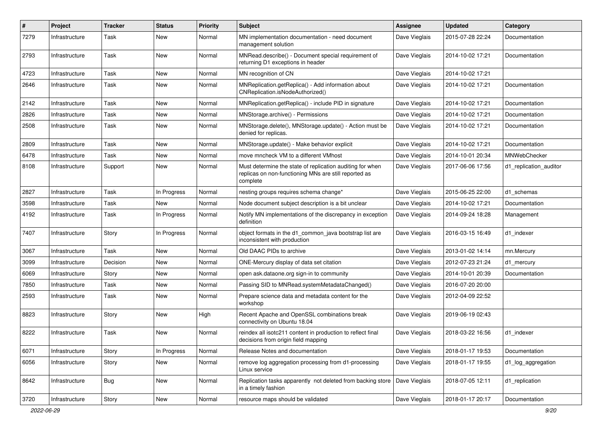| $\pmb{\#}$ | Project        | <b>Tracker</b> | <b>Status</b> | <b>Priority</b> | Subject                                                                                                                        | <b>Assignee</b> | <b>Updated</b>   | Category               |
|------------|----------------|----------------|---------------|-----------------|--------------------------------------------------------------------------------------------------------------------------------|-----------------|------------------|------------------------|
| 7279       | Infrastructure | Task           | New           | Normal          | MN implementation documentation - need document<br>management solution                                                         | Dave Vieglais   | 2015-07-28 22:24 | Documentation          |
| 2793       | Infrastructure | Task           | <b>New</b>    | Normal          | MNRead.describe() - Document special requirement of<br>returning D1 exceptions in header                                       | Dave Vieglais   | 2014-10-02 17:21 | Documentation          |
| 4723       | Infrastructure | Task           | New           | Normal          | MN recognition of CN                                                                                                           | Dave Vieglais   | 2014-10-02 17:21 |                        |
| 2646       | Infrastructure | Task           | New           | Normal          | MNReplication.getReplica() - Add information about<br>CNReplication.isNodeAuthorized()                                         | Dave Vieglais   | 2014-10-02 17:21 | Documentation          |
| 2142       | Infrastructure | Task           | New           | Normal          | MNReplication.getReplica() - include PID in signature                                                                          | Dave Vieglais   | 2014-10-02 17:21 | Documentation          |
| 2826       | Infrastructure | Task           | New           | Normal          | MNStorage.archive() - Permissions                                                                                              | Dave Vieglais   | 2014-10-02 17:21 | Documentation          |
| 2508       | Infrastructure | Task           | New           | Normal          | MNStorage.delete(), MNStorage.update() - Action must be<br>denied for replicas.                                                | Dave Vieglais   | 2014-10-02 17:21 | Documentation          |
| 2809       | Infrastructure | <b>Task</b>    | New           | Normal          | MNStorage.update() - Make behavior explicit                                                                                    | Dave Vieglais   | 2014-10-02 17:21 | Documentation          |
| 6478       | Infrastructure | Task           | New           | Normal          | move mncheck VM to a different VMhost                                                                                          | Dave Vieglais   | 2014-10-01 20:34 | MNWebChecker           |
| 8108       | Infrastructure | Support        | New           | Normal          | Must determine the state of replication auditing for when<br>replicas on non-functioning MNs are still reported as<br>complete | Dave Vieglais   | 2017-06-06 17:56 | d1 replication auditor |
| 2827       | Infrastructure | Task           | In Progress   | Normal          | nesting groups requires schema change*                                                                                         | Dave Vieglais   | 2015-06-25 22:00 | d1 schemas             |
| 3598       | Infrastructure | Task           | New           | Normal          | Node document subject description is a bit unclear                                                                             | Dave Vieglais   | 2014-10-02 17:21 | Documentation          |
| 4192       | Infrastructure | Task           | In Progress   | Normal          | Notify MN implementations of the discrepancy in exception<br>definition                                                        | Dave Vieglais   | 2014-09-24 18:28 | Management             |
| 7407       | Infrastructure | Story          | In Progress   | Normal          | object formats in the d1_common_java bootstrap list are<br>inconsistent with production                                        | Dave Vieglais   | 2016-03-15 16:49 | d1_indexer             |
| 3067       | Infrastructure | Task           | New           | Normal          | Old DAAC PIDs to archive                                                                                                       | Dave Vieglais   | 2013-01-02 14:14 | mn.Mercury             |
| 3099       | Infrastructure | Decision       | New           | Normal          | ONE-Mercury display of data set citation                                                                                       | Dave Vieglais   | 2012-07-23 21:24 | d1_mercury             |
| 6069       | Infrastructure | Story          | New           | Normal          | open ask.dataone.org sign-in to community                                                                                      | Dave Vieglais   | 2014-10-01 20:39 | Documentation          |
| 7850       | Infrastructure | Task           | New           | Normal          | Passing SID to MNRead.systemMetadataChanged()                                                                                  | Dave Vieglais   | 2016-07-20 20:00 |                        |
| 2593       | Infrastructure | Task           | New           | Normal          | Prepare science data and metadata content for the<br>workshop                                                                  | Dave Vieglais   | 2012-04-09 22:52 |                        |
| 8823       | Infrastructure | Story          | <b>New</b>    | High            | Recent Apache and OpenSSL combinations break<br>connectivity on Ubuntu 18.04                                                   | Dave Vieglais   | 2019-06-19 02:43 |                        |
| 8222       | Infrastructure | <b>Task</b>    | New           | Normal          | reindex all isotc211 content in production to reflect final<br>decisions from origin field mapping                             | Dave Vieglais   | 2018-03-22 16:56 | d1_indexer             |
| 6071       | Infrastructure | Story          | In Progress   | Normal          | Release Notes and documentation                                                                                                | Dave Vieglais   | 2018-01-17 19:53 | Documentation          |
| 6056       | Infrastructure | Story          | New           | Normal          | remove log aggregation processing from d1-processing<br>Linux service                                                          | Dave Vieglais   | 2018-01-17 19:55 | d1_log_aggregation     |
| 8642       | Infrastructure | <b>Bug</b>     | New           | Normal          | Replication tasks apparently not deleted from backing store<br>in a timely fashion                                             | Dave Vieglais   | 2018-07-05 12:11 | d1_replication         |
| 3720       | Infrastructure | Story          | New           | Normal          | resource maps should be validated                                                                                              | Dave Vieglais   | 2018-01-17 20:17 | Documentation          |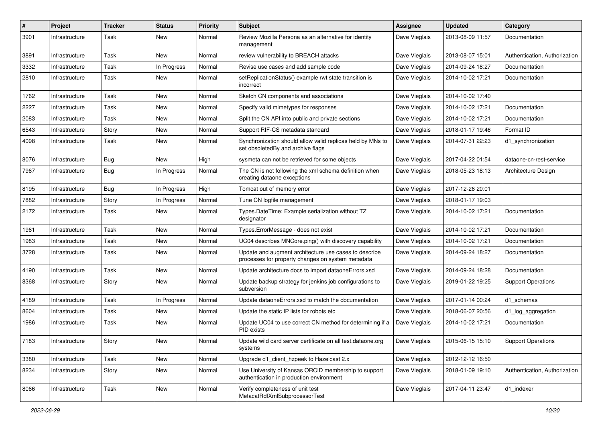| #    | Project        | <b>Tracker</b> | <b>Status</b> | <b>Priority</b> | <b>Subject</b>                                                                                             | Assignee      | <b>Updated</b>   | Category                      |
|------|----------------|----------------|---------------|-----------------|------------------------------------------------------------------------------------------------------------|---------------|------------------|-------------------------------|
| 3901 | Infrastructure | Task           | New           | Normal          | Review Mozilla Persona as an alternative for identity<br>management                                        | Dave Vieglais | 2013-08-09 11:57 | Documentation                 |
| 3891 | Infrastructure | Task           | New           | Normal          | review vulnerability to BREACH attacks                                                                     | Dave Vieglais | 2013-08-07 15:01 | Authentication, Authorization |
| 3332 | Infrastructure | Task           | In Progress   | Normal          | Revise use cases and add sample code                                                                       | Dave Vieglais | 2014-09-24 18:27 | Documentation                 |
| 2810 | Infrastructure | Task           | New           | Normal          | setReplicationStatus() example rwt state transition is<br>incorrect                                        | Dave Vieglais | 2014-10-02 17:21 | Documentation                 |
| 1762 | Infrastructure | Task           | <b>New</b>    | Normal          | Sketch CN components and associations                                                                      | Dave Vieglais | 2014-10-02 17:40 |                               |
| 2227 | Infrastructure | Task           | New           | Normal          | Specify valid mimetypes for responses                                                                      | Dave Vieglais | 2014-10-02 17:21 | Documentation                 |
| 2083 | Infrastructure | Task           | New           | Normal          | Split the CN API into public and private sections                                                          | Dave Vieglais | 2014-10-02 17:21 | Documentation                 |
| 6543 | Infrastructure | Story          | New           | Normal          | Support RIF-CS metadata standard                                                                           | Dave Vieglais | 2018-01-17 19:46 | Format ID                     |
| 4098 | Infrastructure | Task           | New           | Normal          | Synchronization should allow valid replicas held by MNs to<br>set obsoletedBy and archive flags            | Dave Vieglais | 2014-07-31 22:23 | d1_synchronization            |
| 8076 | Infrastructure | Bug            | <b>New</b>    | High            | sysmeta can not be retrieved for some objects                                                              | Dave Vieglais | 2017-04-22 01:54 | dataone-cn-rest-service       |
| 7967 | Infrastructure | Bug            | In Progress   | Normal          | The CN is not following the xml schema definition when<br>creating dataone exceptions                      | Dave Vieglais | 2018-05-23 18:13 | Architecture Design           |
| 8195 | Infrastructure | Bug            | In Progress   | High            | Tomcat out of memory error                                                                                 | Dave Vieglais | 2017-12-26 20:01 |                               |
| 7882 | Infrastructure | Story          | In Progress   | Normal          | Tune CN logfile management                                                                                 | Dave Vieglais | 2018-01-17 19:03 |                               |
| 2172 | Infrastructure | Task           | New           | Normal          | Types.DateTime: Example serialization without TZ<br>designator                                             | Dave Vieglais | 2014-10-02 17:21 | Documentation                 |
| 1961 | Infrastructure | Task           | New           | Normal          | Types.ErrorMessage - does not exist                                                                        | Dave Vieglais | 2014-10-02 17:21 | Documentation                 |
| 1983 | Infrastructure | Task           | New           | Normal          | UC04 describes MNCore.ping() with discovery capability                                                     | Dave Vieglais | 2014-10-02 17:21 | Documentation                 |
| 3728 | Infrastructure | Task           | New           | Normal          | Update and augment architecture use cases to describe<br>processes for property changes on system metadata | Dave Vieglais | 2014-09-24 18:27 | Documentation                 |
| 4190 | Infrastructure | Task           | New           | Normal          | Update architecture docs to import dataoneErrors.xsd                                                       | Dave Vieglais | 2014-09-24 18:28 | Documentation                 |
| 8368 | Infrastructure | Story          | New           | Normal          | Update backup strategy for jenkins job configurations to<br>subversion                                     | Dave Vieglais | 2019-01-22 19:25 | <b>Support Operations</b>     |
| 4189 | Infrastructure | Task           | In Progress   | Normal          | Update dataoneErrors.xsd to match the documentation                                                        | Dave Vieglais | 2017-01-14 00:24 | d1 schemas                    |
| 8604 | Infrastructure | Task           | New           | Normal          | Update the static IP lists for robots etc                                                                  | Dave Vieglais | 2018-06-07 20:56 | d1_log_aggregation            |
| 1986 | Infrastructure | Task           | New           | Normal          | Update UC04 to use correct CN method for determining if a<br>PID exists                                    | Dave Vieglais | 2014-10-02 17:21 | Documentation                 |
| 7183 | Infrastructure | Story          | New           | Normal          | Update wild card server certificate on all test.dataone.org<br>systems                                     | Dave Vieglais | 2015-06-15 15:10 | <b>Support Operations</b>     |
| 3380 | Infrastructure | Task           | New           | Normal          | Upgrade d1 client hzpeek to Hazelcast 2.x                                                                  | Dave Vieglais | 2012-12-12 16:50 |                               |
| 8234 | Infrastructure | Story          | New           | Normal          | Use University of Kansas ORCID membership to support<br>authentication in production environment           | Dave Vieglais | 2018-01-09 19:10 | Authentication, Authorization |
| 8066 | Infrastructure | Task           | New           | Normal          | Verify completeness of unit test<br>MetacatRdfXmlSubprocessorTest                                          | Dave Vieglais | 2017-04-11 23:47 | d1_indexer                    |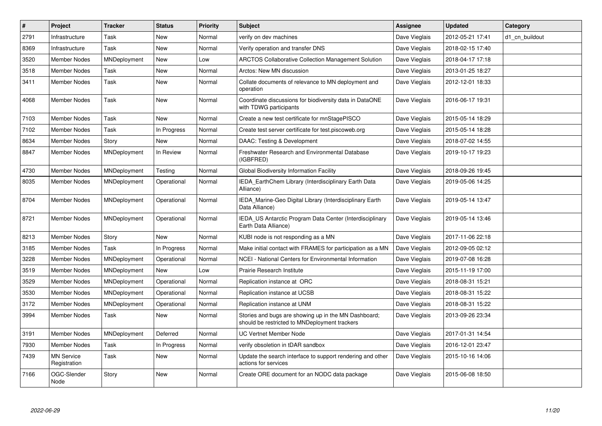| $\sharp$ | Project                           | <b>Tracker</b>      | <b>Status</b> | <b>Priority</b> | <b>Subject</b>                                                                                        | Assignee      | <b>Updated</b>   | Category       |
|----------|-----------------------------------|---------------------|---------------|-----------------|-------------------------------------------------------------------------------------------------------|---------------|------------------|----------------|
| 2791     | Infrastructure                    | Task                | <b>New</b>    | Normal          | verify on dev machines                                                                                | Dave Vieglais | 2012-05-21 17:41 | d1 cn buildout |
| 8369     | Infrastructure                    | Task                | <b>New</b>    | Normal          | Verify operation and transfer DNS                                                                     | Dave Vieglais | 2018-02-15 17:40 |                |
| 3520     | <b>Member Nodes</b>               | MNDeployment        | New           | Low             | <b>ARCTOS Collaborative Collection Management Solution</b>                                            | Dave Vieglais | 2018-04-17 17:18 |                |
| 3518     | <b>Member Nodes</b>               | Task                | New           | Normal          | Arctos: New MN discussion                                                                             | Dave Vieglais | 2013-01-25 18:27 |                |
| 3411     | Member Nodes                      | Task                | New           | Normal          | Collate documents of relevance to MN deployment and<br>operation                                      | Dave Vieglais | 2012-12-01 18:33 |                |
| 4068     | Member Nodes                      | Task                | New           | Normal          | Coordinate discussions for biodiversity data in DataONE<br>with TDWG participants                     | Dave Vieglais | 2016-06-17 19:31 |                |
| 7103     | Member Nodes                      | Task                | New           | Normal          | Create a new test certificate for mnStagePISCO                                                        | Dave Vieglais | 2015-05-14 18:29 |                |
| 7102     | Member Nodes                      | Task                | In Progress   | Normal          | Create test server certificate for test.piscoweb.org                                                  | Dave Vieglais | 2015-05-14 18:28 |                |
| 8634     | Member Nodes                      | Story               | New           | Normal          | DAAC: Testing & Development                                                                           | Dave Vieglais | 2018-07-02 14:55 |                |
| 8847     | <b>Member Nodes</b>               | MNDeployment        | In Review     | Normal          | Freshwater Research and Environmental Database<br>(IGBFRED)                                           | Dave Vieglais | 2019-10-17 19:23 |                |
| 4730     | <b>Member Nodes</b>               | MNDeployment        | Testing       | Normal          | Global Biodiversity Information Facility                                                              | Dave Vieglais | 2018-09-26 19:45 |                |
| 8035     | Member Nodes                      | MNDeployment        | Operational   | Normal          | IEDA_EarthChem Library (Interdisciplinary Earth Data<br>Alliance)                                     | Dave Vieglais | 2019-05-06 14:25 |                |
| 8704     | <b>Member Nodes</b>               | MNDeployment        | Operational   | Normal          | IEDA Marine-Geo Digital Library (Interdisciplinary Earth<br>Data Alliance)                            | Dave Vieglais | 2019-05-14 13:47 |                |
| 8721     | Member Nodes                      | <b>MNDeployment</b> | Operational   | Normal          | IEDA US Antarctic Program Data Center (Interdisciplinary<br>Earth Data Alliance)                      | Dave Vieglais | 2019-05-14 13:46 |                |
| 8213     | Member Nodes                      | Story               | New           | Normal          | KUBI node is not responding as a MN                                                                   | Dave Vieglais | 2017-11-06 22:18 |                |
| 3185     | Member Nodes                      | Task                | In Progress   | Normal          | Make initial contact with FRAMES for participation as a MN                                            | Dave Vieglais | 2012-09-05 02:12 |                |
| 3228     | <b>Member Nodes</b>               | MNDeployment        | Operational   | Normal          | NCEI - National Centers for Environmental Information                                                 | Dave Vieglais | 2019-07-08 16:28 |                |
| 3519     | Member Nodes                      | MNDeployment        | <b>New</b>    | Low             | Prairie Research Institute                                                                            | Dave Vieglais | 2015-11-19 17:00 |                |
| 3529     | <b>Member Nodes</b>               | MNDeployment        | Operational   | Normal          | Replication instance at ORC                                                                           | Dave Vieglais | 2018-08-31 15:21 |                |
| 3530     | <b>Member Nodes</b>               | MNDeployment        | Operational   | Normal          | Replication instance at UCSB                                                                          | Dave Vieglais | 2018-08-31 15:22 |                |
| 3172     | Member Nodes                      | MNDeployment        | Operational   | Normal          | Replication instance at UNM                                                                           | Dave Vieglais | 2018-08-31 15:22 |                |
| 3994     | Member Nodes                      | Task                | New           | Normal          | Stories and bugs are showing up in the MN Dashboard;<br>should be restricted to MNDeployment trackers | Dave Vieglais | 2013-09-26 23:34 |                |
| 3191     | <b>Member Nodes</b>               | MNDeployment        | Deferred      | Normal          | UC Vertnet Member Node                                                                                | Dave Vieglais | 2017-01-31 14:54 |                |
| 7930     | Member Nodes                      | Task                | In Progress   | Normal          | verify obsoletion in tDAR sandbox                                                                     | Dave Vieglais | 2016-12-01 23:47 |                |
| 7439     | <b>MN Service</b><br>Registration | Task                | New           | Normal          | Update the search interface to support rendering and other<br>actions for services                    | Dave Vieglais | 2015-10-16 14:06 |                |
| 7166     | OGC-Slender<br>Node               | Story               | New           | Normal          | Create ORE document for an NODC data package                                                          | Dave Vieglais | 2015-06-08 18:50 |                |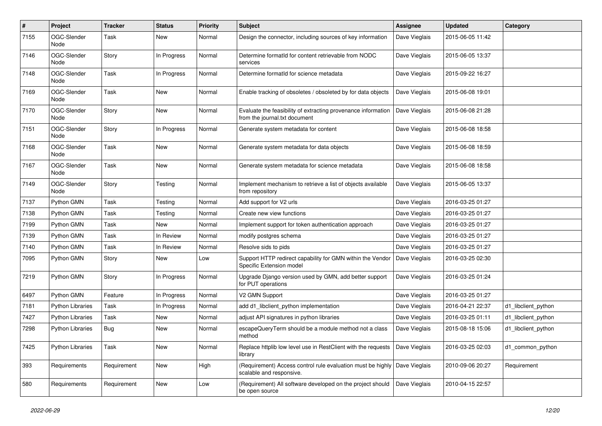| #    | Project                 | <b>Tracker</b> | <b>Status</b> | <b>Priority</b> | <b>Subject</b>                                                                                          | Assignee      | <b>Updated</b>   | Category            |
|------|-------------------------|----------------|---------------|-----------------|---------------------------------------------------------------------------------------------------------|---------------|------------------|---------------------|
| 7155 | OGC-Slender<br>Node     | Task           | New           | Normal          | Design the connector, including sources of key information                                              | Dave Vieglais | 2015-06-05 11:42 |                     |
| 7146 | OGC-Slender<br>Node     | Story          | In Progress   | Normal          | Determine formatId for content retrievable from NODC<br>services                                        | Dave Vieglais | 2015-06-05 13:37 |                     |
| 7148 | OGC-Slender<br>Node     | Task           | In Progress   | Normal          | Determine formatId for science metadata                                                                 | Dave Vieglais | 2015-09-22 16:27 |                     |
| 7169 | OGC-Slender<br>Node     | Task           | New           | Normal          | Enable tracking of obsoletes / obsoleted by for data objects                                            | Dave Vieglais | 2015-06-08 19:01 |                     |
| 7170 | OGC-Slender<br>Node     | Story          | New           | Normal          | Evaluate the feasibility of extracting provenance information<br>from the journal.txt document          | Dave Vieglais | 2015-06-08 21:28 |                     |
| 7151 | OGC-Slender<br>Node     | Story          | In Progress   | Normal          | Generate system metadata for content                                                                    | Dave Vieglais | 2015-06-08 18:58 |                     |
| 7168 | OGC-Slender<br>Node     | Task           | New           | Normal          | Generate system metadata for data objects                                                               | Dave Vieglais | 2015-06-08 18:59 |                     |
| 7167 | OGC-Slender<br>Node     | Task           | New           | Normal          | Generate system metadata for science metadata                                                           | Dave Vieglais | 2015-06-08 18:58 |                     |
| 7149 | OGC-Slender<br>Node     | Story          | Testing       | Normal          | Implement mechanism to retrieve a list of objects available<br>from repository                          | Dave Vieglais | 2015-06-05 13:37 |                     |
| 7137 | Python GMN              | Task           | Testing       | Normal          | Add support for V2 urls                                                                                 | Dave Vieglais | 2016-03-25 01:27 |                     |
| 7138 | Python GMN              | Task           | Testing       | Normal          | Create new view functions                                                                               | Dave Vieglais | 2016-03-25 01:27 |                     |
| 7199 | Python GMN              | Task           | New           | Normal          | Implement support for token authentication approach                                                     | Dave Vieglais | 2016-03-25 01:27 |                     |
| 7139 | Python GMN              | Task           | In Review     | Normal          | modify postgres schema                                                                                  | Dave Vieglais | 2016-03-25 01:27 |                     |
| 7140 | Python GMN              | Task           | In Review     | Normal          | Resolve sids to pids                                                                                    | Dave Vieglais | 2016-03-25 01:27 |                     |
| 7095 | Python GMN              | Story          | New           | Low             | Support HTTP redirect capability for GMN within the Vendor<br>Specific Extension model                  | Dave Vieglais | 2016-03-25 02:30 |                     |
| 7219 | Python GMN              | Story          | In Progress   | Normal          | Upgrade Django version used by GMN, add better support<br>for PUT operations                            | Dave Vieglais | 2016-03-25 01:24 |                     |
| 6497 | Python GMN              | Feature        | In Progress   | Normal          | V2 GMN Support                                                                                          | Dave Vieglais | 2016-03-25 01:27 |                     |
| 7181 | Python Libraries        | Task           | In Progress   | Normal          | add d1_libclient_python implementation                                                                  | Dave Vieglais | 2016-04-21 22:37 | d1 libclient python |
| 7427 | <b>Python Libraries</b> | Task           | New           | Normal          | adjust API signatures in python libraries                                                               | Dave Vieglais | 2016-03-25 01:11 | d1_libclient_python |
| 7298 | <b>Python Libraries</b> | Bug            | New           | Normal          | escapeQueryTerm should be a module method not a class<br>method                                         | Dave Vieglais | 2015-08-18 15:06 | d1_libclient_python |
| 7425 | <b>Python Libraries</b> | Task           | New           | Normal          | Replace httplib low level use in RestClient with the requests<br>library                                | Dave Vieglais | 2016-03-25 02:03 | d1_common_python    |
| 393  | Requirements            | Requirement    | New           | High            | (Requirement) Access control rule evaluation must be highly   Dave Vieglais<br>scalable and responsive. |               | 2010-09-06 20:27 | Requirement         |
| 580  | Requirements            | Requirement    | New           | Low             | (Requirement) All software developed on the project should<br>be open source                            | Dave Vieglais | 2010-04-15 22:57 |                     |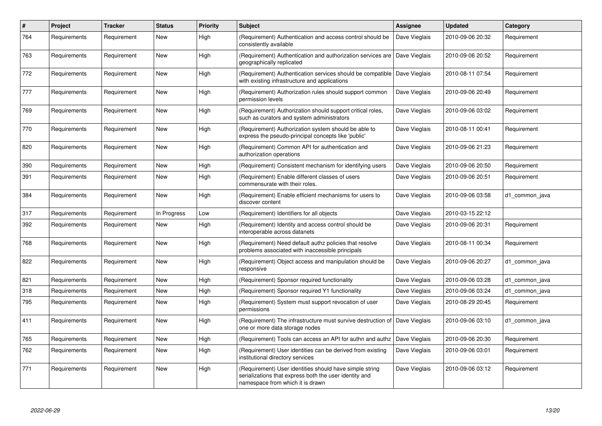| $\#$ | Project      | <b>Tracker</b> | <b>Status</b> | <b>Priority</b> | <b>Subject</b>                                                                                                                                        | <b>Assignee</b> | <b>Updated</b>   | Category       |
|------|--------------|----------------|---------------|-----------------|-------------------------------------------------------------------------------------------------------------------------------------------------------|-----------------|------------------|----------------|
| 764  | Requirements | Requirement    | New           | High            | (Requirement) Authentication and access control should be<br>consistently available                                                                   | Dave Vieglais   | 2010-09-06 20:32 | Requirement    |
| 763  | Requirements | Requirement    | New           | High            | (Requirement) Authentication and authorization services are Dave Vieglais<br>geographically replicated                                                |                 | 2010-09-06 20:52 | Requirement    |
| 772  | Requirements | Requirement    | New           | High            | (Requirement) Authentication services should be compatible   Dave Vieglais<br>with existing infrastructure and applications                           |                 | 2010-08-11 07:54 | Requirement    |
| 777  | Requirements | Requirement    | New           | High            | (Requirement) Authorization rules should support common<br>permission levels                                                                          | Dave Vieglais   | 2010-09-06 20:49 | Requirement    |
| 769  | Requirements | Requirement    | New           | High            | (Requirement) Authorization should support critical roles,<br>such as curators and system administrators                                              | Dave Vieglais   | 2010-09-06 03:02 | Requirement    |
| 770  | Requirements | Requirement    | New           | High            | (Requirement) Authorization system should be able to<br>express the pseudo-principal concepts like 'public'                                           | Dave Vieglais   | 2010-08-11 00:41 | Requirement    |
| 820  | Requirements | Requirement    | New           | High            | (Requirement) Common API for authentication and<br>authorization operations                                                                           | Dave Vieglais   | 2010-09-06 21:23 | Requirement    |
| 390  | Requirements | Requirement    | <b>New</b>    | High            | (Requirement) Consistent mechanism for identifying users                                                                                              | Dave Vieglais   | 2010-09-06 20:50 | Requirement    |
| 391  | Requirements | Requirement    | New           | High            | (Requirement) Enable different classes of users<br>commensurate with their roles.                                                                     | Dave Vieglais   | 2010-09-06 20:51 | Requirement    |
| 384  | Requirements | Requirement    | <b>New</b>    | High            | (Requirement) Enable efficient mechanisms for users to<br>discover content                                                                            | Dave Vieglais   | 2010-09-06 03:58 | d1 common java |
| 317  | Requirements | Requirement    | In Progress   | Low             | (Requirement) Identifiers for all objects                                                                                                             | Dave Vieglais   | 2010-03-15 22:12 |                |
| 392  | Requirements | Requirement    | New           | High            | (Requirement) Identity and access control should be<br>interoperable across datanets                                                                  | Dave Vieglais   | 2010-09-06 20:31 | Requirement    |
| 768  | Requirements | Requirement    | <b>New</b>    | High            | (Requirement) Need default authz policies that resolve<br>problems associated with inaccessible principals                                            | Dave Vieglais   | 2010-08-11 00:34 | Requirement    |
| 822  | Requirements | Requirement    | <b>New</b>    | High            | (Requirement) Object access and manipulation should be<br>responsive                                                                                  | Dave Vieglais   | 2010-09-06 20:27 | d1_common_java |
| 821  | Requirements | Requirement    | <b>New</b>    | High            | (Requirement) Sponsor required functionality                                                                                                          | Dave Vieglais   | 2010-09-06 03:28 | d1 common java |
| 318  | Requirements | Requirement    | <b>New</b>    | High            | (Requirement) Sponsor required Y1 functionality                                                                                                       | Dave Vieglais   | 2010-09-06 03:24 | d1_common_java |
| 795  | Requirements | Requirement    | New           | High            | (Requirement) System must support revocation of user<br>permissions                                                                                   | Dave Vieglais   | 2010-08-29 20:45 | Requirement    |
| 411  | Requirements | Requirement    | <b>New</b>    | High            | (Requirement) The infrastructure must survive destruction of<br>one or more data storage nodes                                                        | Dave Vieglais   | 2010-09-06 03:10 | d1 common java |
| 765  | Requirements | Requirement    | <b>New</b>    | High            | (Requirement) Tools can access an API for authn and authz                                                                                             | Dave Vieglais   | 2010-09-06 20:30 | Requirement    |
| 762  | Requirements | Requirement    | <b>New</b>    | High            | (Requirement) User identities can be derived from existing<br>institutional directory services                                                        | Dave Vieglais   | 2010-09-06 03:01 | Requirement    |
| 771  | Requirements | Requirement    | <b>New</b>    | High            | (Requirement) User identities should have simple string<br>serializations that express both the user identity and<br>namespace from which it is drawn | Dave Vieglais   | 2010-09-06 03:12 | Requirement    |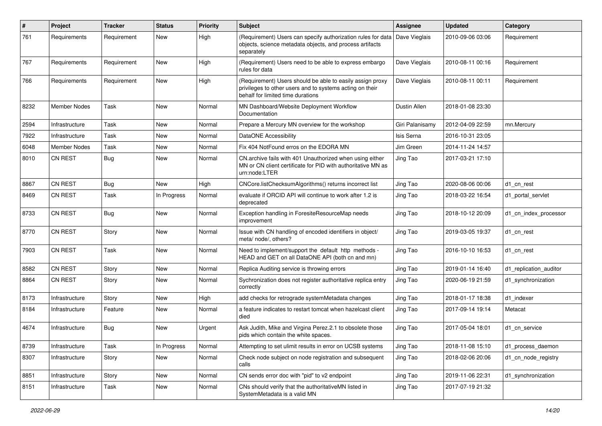| #    | Project             | <b>Tracker</b> | <b>Status</b> | <b>Priority</b> | <b>Subject</b>                                                                                                                                             | <b>Assignee</b> | <b>Updated</b>   | Category               |
|------|---------------------|----------------|---------------|-----------------|------------------------------------------------------------------------------------------------------------------------------------------------------------|-----------------|------------------|------------------------|
| 761  | Requirements        | Requirement    | New           | High            | (Requirement) Users can specify authorization rules for data<br>objects, science metadata objects, and process artifacts<br>separately                     | Dave Vieglais   | 2010-09-06 03:06 | Requirement            |
| 767  | Requirements        | Requirement    | New           | High            | (Requirement) Users need to be able to express embargo<br>rules for data                                                                                   | Dave Vieglais   | 2010-08-11 00:16 | Requirement            |
| 766  | Requirements        | Requirement    | <b>New</b>    | High            | (Requirement) Users should be able to easily assign proxy<br>privileges to other users and to systems acting on their<br>behalf for limited time durations | Dave Vieglais   | 2010-08-11 00:11 | Requirement            |
| 8232 | <b>Member Nodes</b> | Task           | <b>New</b>    | Normal          | MN Dashboard/Website Deployment Workflow<br>Documentation                                                                                                  | Dustin Allen    | 2018-01-08 23:30 |                        |
| 2594 | Infrastructure      | Task           | New           | Normal          | Prepare a Mercury MN overview for the workshop                                                                                                             | Giri Palanisamy | 2012-04-09 22:59 | mn.Mercury             |
| 7922 | Infrastructure      | Task           | New           | Normal          | DataONE Accessibility                                                                                                                                      | Isis Serna      | 2016-10-31 23:05 |                        |
| 6048 | <b>Member Nodes</b> | Task           | <b>New</b>    | Normal          | Fix 404 NotFound erros on the EDORA MN                                                                                                                     | Jim Green       | 2014-11-24 14:57 |                        |
| 8010 | <b>CN REST</b>      | Bug            | New           | Normal          | CN.archive fails with 401 Unauthorized when using either<br>MN or CN client certificate for PID with authoritative MN as<br>urn:node:LTER                  | Jing Tao        | 2017-03-21 17:10 |                        |
| 8867 | CN REST             | <b>Bug</b>     | New           | High            | CNCore.listChecksumAlgorithms() returns incorrect list                                                                                                     | Jing Tao        | 2020-08-06 00:06 | d1 cn rest             |
| 8469 | CN REST             | Task           | In Progress   | Normal          | evaluate if ORCID API will continue to work after 1.2 is<br>deprecated                                                                                     | Jing Tao        | 2018-03-22 16:54 | d1_portal_servlet      |
| 8733 | <b>CN REST</b>      | Bug            | <b>New</b>    | Normal          | Exception handling in ForesiteResourceMap needs<br>improvement                                                                                             | Jing Tao        | 2018-10-12 20:09 | d1 cn index processor  |
| 8770 | <b>CN REST</b>      | Story          | <b>New</b>    | Normal          | Issue with CN handling of encoded identifiers in object/<br>meta/ node/, others?                                                                           | Jing Tao        | 2019-03-05 19:37 | d1_cn_rest             |
| 7903 | <b>CN REST</b>      | Task           | New           | Normal          | Need to implement/support the default http methods -<br>HEAD and GET on all DataONE API (both cn and mn)                                                   | Jing Tao        | 2016-10-10 16:53 | d1_cn_rest             |
| 8582 | CN REST             | Story          | <b>New</b>    | Normal          | Replica Auditing service is throwing errors                                                                                                                | Jing Tao        | 2019-01-14 16:40 | d1_replication_auditor |
| 8864 | <b>CN REST</b>      | Story          | New           | Normal          | Sychronization does not register authoritative replica entry<br>correctly                                                                                  | Jing Tao        | 2020-06-19 21:59 | d1 synchronization     |
| 8173 | Infrastructure      | Story          | <b>New</b>    | High            | add checks for retrograde systemMetadata changes                                                                                                           | Jing Tao        | 2018-01-17 18:38 | d1_indexer             |
| 8184 | Infrastructure      | Feature        | New           | Normal          | a feature indicates to restart tomcat when hazelcast client<br>died                                                                                        | Jing Tao        | 2017-09-14 19:14 | Metacat                |
| 4674 | Infrastructure      | <b>Bug</b>     | New           | Urgent          | Ask Judith, Mike and Virgina Perez.2.1 to obsolete those<br>pids which contain the white spaces.                                                           | Jing Tao        | 2017-05-04 18:01 | d1 cn service          |
| 8739 | Infrastructure      | Task           | In Progress   | Normal          | Attempting to set ulimit results in error on UCSB systems                                                                                                  | Jing Tao        | 2018-11-08 15:10 | d1 process daemon      |
| 8307 | Infrastructure      | Story          | New           | Normal          | Check node subject on node registration and subsequent<br>calls                                                                                            | Jing Tao        | 2018-02-06 20:06 | d1_cn_node_registry    |
| 8851 | Infrastructure      | Story          | New           | Normal          | CN sends error doc with "pid" to v2 endpoint                                                                                                               | Jing Tao        | 2019-11-06 22:31 | d1_synchronization     |
| 8151 | Infrastructure      | Task           | New           | Normal          | CNs should verify that the authoritativeMN listed in<br>SystemMetadata is a valid MN                                                                       | Jing Tao        | 2017-07-19 21:32 |                        |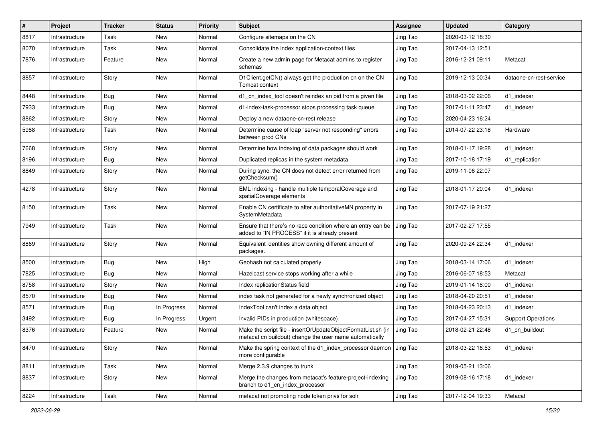| $\sharp$ | Project        | <b>Tracker</b> | <b>Status</b> | <b>Priority</b> | <b>Subject</b>                                                                                                          | Assignee | <b>Updated</b>   | Category                  |
|----------|----------------|----------------|---------------|-----------------|-------------------------------------------------------------------------------------------------------------------------|----------|------------------|---------------------------|
| 8817     | Infrastructure | Task           | New           | Normal          | Configure sitemaps on the CN                                                                                            | Jing Tao | 2020-03-12 18:30 |                           |
| 8070     | Infrastructure | Task           | New           | Normal          | Consolidate the index application-context files                                                                         | Jing Tao | 2017-04-13 12:51 |                           |
| 7876     | Infrastructure | Feature        | New           | Normal          | Create a new admin page for Metacat admins to register<br>schemas                                                       | Jing Tao | 2016-12-21 09:11 | Metacat                   |
| 8857     | Infrastructure | Story          | New           | Normal          | D1Client.getCN() always get the production cn on the CN<br>Tomcat context                                               | Jing Tao | 2019-12-13 00:34 | dataone-cn-rest-service   |
| 8448     | Infrastructure | <b>Bug</b>     | New           | Normal          | d1 cn index tool doesn't reindex an pid from a given file                                                               | Jing Tao | 2018-03-02 22:06 | d1_indexer                |
| 7933     | Infrastructure | Bug            | New           | Normal          | d1-index-task-processor stops processing task queue                                                                     | Jing Tao | 2017-01-11 23:47 | d1 indexer                |
| 8862     | Infrastructure | Story          | New           | Normal          | Deploy a new dataone-cn-rest release                                                                                    | Jing Tao | 2020-04-23 16:24 |                           |
| 5988     | Infrastructure | Task           | New           | Normal          | Determine cause of Idap "server not responding" errors<br>between prod CNs                                              | Jing Tao | 2014-07-22 23:18 | Hardware                  |
| 7668     | Infrastructure | Story          | New           | Normal          | Determine how indexing of data packages should work                                                                     | Jing Tao | 2018-01-17 19:28 | d1_indexer                |
| 8196     | Infrastructure | Bug            | New           | Normal          | Duplicated replicas in the system metadata                                                                              | Jing Tao | 2017-10-18 17:19 | d1 replication            |
| 8849     | Infrastructure | Story          | New           | Normal          | During sync, the CN does not detect error returned from<br>getChecksum()                                                | Jing Tao | 2019-11-06 22:07 |                           |
| 4278     | Infrastructure | Story          | New           | Normal          | EML indexing - handle multiple temporalCoverage and<br>spatialCoverage elements                                         | Jing Tao | 2018-01-17 20:04 | d1_indexer                |
| 8150     | Infrastructure | Task           | New           | Normal          | Enable CN certificate to alter authoritativeMN property in<br>SystemMetadata                                            | Jing Tao | 2017-07-19 21:27 |                           |
| 7949     | Infrastructure | Task           | New           | Normal          | Ensure that there's no race condition where an entry can be<br>added to "IN PROCESS" if it is already present           | Jing Tao | 2017-02-27 17:55 |                           |
| 8869     | Infrastructure | Story          | New           | Normal          | Equivalent identities show owning different amount of<br>packages.                                                      | Jing Tao | 2020-09-24 22:34 | d1_indexer                |
| 8500     | Infrastructure | Bug            | New           | High            | Geohash not calculated properly                                                                                         | Jing Tao | 2018-03-14 17:06 | d1_indexer                |
| 7825     | Infrastructure | Bug            | New           | Normal          | Hazelcast service stops working after a while                                                                           | Jing Tao | 2016-06-07 18:53 | Metacat                   |
| 8758     | Infrastructure | Story          | New           | Normal          | Index replicationStatus field                                                                                           | Jing Tao | 2019-01-14 18:00 | d1_indexer                |
| 8570     | Infrastructure | Bug            | New           | Normal          | index task not generated for a newly synchronized object                                                                | Jing Tao | 2018-04-20 20:51 | d1 indexer                |
| 8571     | Infrastructure | <b>Bug</b>     | In Progress   | Normal          | IndexTool can't index a data object                                                                                     | Jing Tao | 2018-04-23 20:13 | d1 indexer                |
| 3492     | Infrastructure | Bug            | In Progress   | Urgent          | Invalid PIDs in production (whitespace)                                                                                 | Jing Tao | 2017-04-27 15:31 | <b>Support Operations</b> |
| 8376     | Infrastructure | Feature        | New           | Normal          | Make the script file - insertOrUpdateObjectFormatList.sh (in<br>metacat cn buildout) change the user name automatically | Jing Tao | 2018-02-21 22:48 | d1_cn_buildout            |
| 8470     | Infrastructure | Story          | New           | Normal          | Make the spring context of the d1 index processor daemon<br>more configurable                                           | Jing Tao | 2018-03-22 16:53 | d1_indexer                |
| 8811     | Infrastructure | Task           | New           | Normal          | Merge 2.3.9 changes to trunk                                                                                            | Jing Tao | 2019-05-21 13:06 |                           |
| 8837     | Infrastructure | Story          | New           | Normal          | Merge the changes from metacat's feature-project-indexing<br>branch to d1_cn_index_processor                            | Jing Tao | 2019-08-16 17:18 | d1 indexer                |
| 8224     | Infrastructure | Task           | New           | Normal          | metacat not promoting node token privs for solr                                                                         | Jing Tao | 2017-12-04 19:33 | Metacat                   |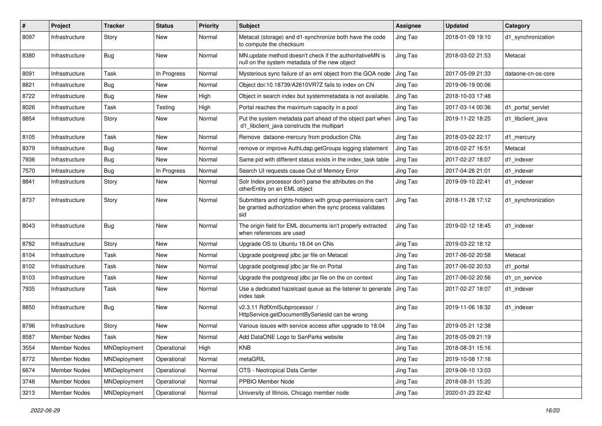| $\#$ | Project             | <b>Tracker</b> | <b>Status</b> | <b>Priority</b> | Subject                                                                                                                       | <b>Assignee</b> | <b>Updated</b>   | Category           |
|------|---------------------|----------------|---------------|-----------------|-------------------------------------------------------------------------------------------------------------------------------|-----------------|------------------|--------------------|
| 8097 | Infrastructure      | Story          | New           | Normal          | Metacat (storage) and d1-synchronize both have the code<br>to compute the checksum                                            | Jing Tao        | 2018-01-09 19:10 | d1_synchronization |
| 8380 | Infrastructure      | Bug            | New           | Normal          | MN.update method doesn't check if the authoritativeMN is<br>null on the system metadata of the new object                     | Jing Tao        | 2018-03-02 21:53 | Metacat            |
| 8091 | Infrastructure      | Task           | In Progress   | Normal          | Mysterious sync failure of an eml object from the GOA node                                                                    | Jing Tao        | 2017-05-09 21:33 | dataone-cn-os-core |
| 8821 | Infrastructure      | <b>Bug</b>     | New           | Normal          | Object doi:10.18739/A2610VR7Z fails to index on CN                                                                            | Jing Tao        | 2019-06-19 00:06 |                    |
| 8722 | Infrastructure      | <b>Bug</b>     | New           | High            | Object in search index but systemmetadata is not available.                                                                   | Jing Tao        | 2018-10-03 17:48 |                    |
| 8026 | Infrastructure      | Task           | Testing       | High            | Portal reaches the maximum capacity in a pool                                                                                 | Jing Tao        | 2017-03-14 00:36 | d1 portal servlet  |
| 8854 | Infrastructure      | Story          | New           | Normal          | Put the system metadata part ahead of the object part when<br>d1_libclient_java constructs the multipart                      | Jing Tao        | 2019-11-22 18:25 | d1 libclient java  |
| 8105 | Infrastructure      | Task           | New           | Normal          | Remove dataone-mercury from production CNs                                                                                    | Jing Tao        | 2018-03-02 22:17 | d1 mercury         |
| 8379 | Infrastructure      | <b>Bug</b>     | New           | Normal          | remove or improve AuthLdap.getGroups logging statement                                                                        | Jing Tao        | 2018-02-27 16:51 | Metacat            |
| 7936 | Infrastructure      | Bug            | New           | Normal          | Same pid with different status exists in the index task table                                                                 | Jing Tao        | 2017-02-27 18:07 | d1 indexer         |
| 7570 | Infrastructure      | Bug            | In Progress   | Normal          | Search UI requests cause Out of Memory Error                                                                                  | Jing Tao        | 2017-04-26 21:01 | d1 indexer         |
| 8841 | Infrastructure      | Story          | New           | Normal          | Solr Index processor don't parse the attributes on the<br>otherEntity on an EML object                                        | Jing Tao        | 2019-09-10 22:41 | d1 indexer         |
| 8737 | Infrastructure      | Story          | New           | Normal          | Submitters and rights-holders with group permissions can't<br>be granted authorization when the sync process validates<br>sid | Jing Tao        | 2018-11-28 17:12 | d1 synchronization |
| 8043 | Infrastructure      | Bug            | New           | Normal          | The origin field for EML documents isn't properly extracted<br>when references are used                                       | Jing Tao        | 2019-02-12 18:45 | d1 indexer         |
| 8782 | Infrastructure      | Story          | New           | Normal          | Upgrade OS to Ubuntu 18.04 on CNs                                                                                             | Jing Tao        | 2019-03-22 18:12 |                    |
| 8104 | Infrastructure      | Task           | New           | Normal          | Upgrade postgresql jdbc jar file on Metacat                                                                                   | Jing Tao        | 2017-06-02 20:58 | Metacat            |
| 8102 | Infrastructure      | Task           | New           | Normal          | Upgrade postgresql jdbc jar file on Portal                                                                                    | Jing Tao        | 2017-06-02 20:53 | d1 portal          |
| 8103 | Infrastructure      | Task           | New           | Normal          | Upgrade the postgresql jdbc jar file on the cn context                                                                        | Jing Tao        | 2017-06-02 20:56 | d1 cn service      |
| 7935 | Infrastructure      | Task           | New           | Normal          | Use a dedicated hazelcast queue as the listener to generate<br>index task                                                     | Jing Tao        | 2017-02-27 18:07 | d1 indexer         |
| 8850 | Infrastructure      | Bug            | New           | Normal          | v2.3.11 RdfXmlSubprocessor /<br>HttpService.getDocumentBySeriesId can be wrong                                                | Jing Tao        | 2019-11-06 18:32 | d1 indexer         |
| 8796 | Infrastructure      | Story          | New           | Normal          | Various issues with service access after upgrade to 18.04                                                                     | Jing Tao        | 2019-05-21 12:38 |                    |
| 8587 | <b>Member Nodes</b> | Task           | New           | Normal          | Add DataONE Logo to SanParks website                                                                                          | Jing Tao        | 2018-05-09 21:19 |                    |
| 3554 | <b>Member Nodes</b> | MNDeployment   | Operational   | High            | <b>KNB</b>                                                                                                                    | Jing Tao        | 2018-08-31 15:16 |                    |
| 8772 | Member Nodes        | MNDeployment   | Operational   | Normal          | metaGRIL                                                                                                                      | Jing Tao        | 2019-10-08 17:16 |                    |
| 6674 | Member Nodes        | MNDeployment   | Operational   | Normal          | OTS - Neotropical Data Center                                                                                                 | Jing Tao        | 2019-06-10 13:03 |                    |
| 3748 | <b>Member Nodes</b> | MNDeployment   | Operational   | Normal          | PPBIO Member Node                                                                                                             | Jing Tao        | 2018-08-31 15:20 |                    |
| 3213 | Member Nodes        | MNDeployment   | Operational   | Normal          | University of Illinois, Chicago member node                                                                                   | Jing Tao        | 2020-01-23 22:42 |                    |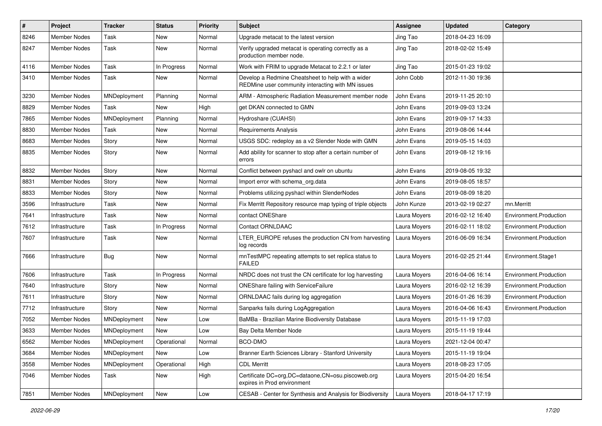| $\pmb{\#}$ | Project             | <b>Tracker</b> | <b>Status</b> | <b>Priority</b> | <b>Subject</b>                                                                                         | <b>Assignee</b> | <b>Updated</b>   | Category               |
|------------|---------------------|----------------|---------------|-----------------|--------------------------------------------------------------------------------------------------------|-----------------|------------------|------------------------|
| 8246       | <b>Member Nodes</b> | Task           | New           | Normal          | Upgrade metacat to the latest version                                                                  | Jing Tao        | 2018-04-23 16:09 |                        |
| 8247       | <b>Member Nodes</b> | Task           | New           | Normal          | Verify upgraded metacat is operating correctly as a<br>production member node.                         | Jing Tao        | 2018-02-02 15:49 |                        |
| 4116       | <b>Member Nodes</b> | Task           | In Progress   | Normal          | Work with FRIM to upgrade Metacat to 2.2.1 or later                                                    | Jing Tao        | 2015-01-23 19:02 |                        |
| 3410       | <b>Member Nodes</b> | Task           | New           | Normal          | Develop a Redmine Cheatsheet to help with a wider<br>REDMine user community interacting with MN issues | John Cobb       | 2012-11-30 19:36 |                        |
| 3230       | <b>Member Nodes</b> | MNDeployment   | Planning      | Normal          | ARM - Atmospheric Radiation Measurement member node                                                    | John Evans      | 2019-11-25 20:10 |                        |
| 8829       | Member Nodes        | Task           | New           | High            | get DKAN connected to GMN                                                                              | John Evans      | 2019-09-03 13:24 |                        |
| 7865       | <b>Member Nodes</b> | MNDeployment   | Planning      | Normal          | Hydroshare (CUAHSI)                                                                                    | John Evans      | 2019-09-17 14:33 |                        |
| 8830       | <b>Member Nodes</b> | Task           | <b>New</b>    | Normal          | <b>Requirements Analysis</b>                                                                           | John Evans      | 2019-08-06 14:44 |                        |
| 8683       | <b>Member Nodes</b> | Story          | New           | Normal          | USGS SDC: redeploy as a v2 Slender Node with GMN                                                       | John Evans      | 2019-05-15 14:03 |                        |
| 8835       | <b>Member Nodes</b> | Story          | New           | Normal          | Add ability for scanner to stop after a certain number of<br>errors                                    | John Evans      | 2019-08-12 19:16 |                        |
| 8832       | <b>Member Nodes</b> | Story          | New           | Normal          | Conflict between pyshacl and owlr on ubuntu                                                            | John Evans      | 2019-08-05 19:32 |                        |
| 8831       | <b>Member Nodes</b> | Story          | New           | Normal          | Import error with schema_org.data                                                                      | John Evans      | 2019-08-05 18:57 |                        |
| 8833       | <b>Member Nodes</b> | Story          | New           | Normal          | Problems utilizing pyshacl within SlenderNodes                                                         | John Evans      | 2019-08-09 18:20 |                        |
| 3596       | Infrastructure      | Task           | New           | Normal          | Fix Merritt Repository resource map typing of triple objects                                           | John Kunze      | 2013-02-19 02:27 | mn.Merritt             |
| 7641       | Infrastructure      | Task           | <b>New</b>    | Normal          | contact ONEShare                                                                                       | Laura Moyers    | 2016-02-12 16:40 | Environment.Production |
| 7612       | Infrastructure      | Task           | In Progress   | Normal          | <b>Contact ORNLDAAC</b>                                                                                | Laura Moyers    | 2016-02-11 18:02 | Environment.Production |
| 7607       | Infrastructure      | Task           | New           | Normal          | LTER_EUROPE refuses the production CN from harvesting<br>log records                                   | Laura Moyers    | 2016-06-09 16:34 | Environment.Production |
| 7666       | Infrastructure      | Bug            | New           | Normal          | mnTestMPC repeating attempts to set replica status to<br><b>FAILED</b>                                 | Laura Moyers    | 2016-02-25 21:44 | Environment.Stage1     |
| 7606       | Infrastructure      | Task           | In Progress   | Normal          | NRDC does not trust the CN certificate for log harvesting                                              | Laura Moyers    | 2016-04-06 16:14 | Environment.Production |
| 7640       | Infrastructure      | Story          | New           | Normal          | ONEShare failing with ServiceFailure                                                                   | Laura Moyers    | 2016-02-12 16:39 | Environment.Production |
| 7611       | Infrastructure      | Story          | New           | Normal          | ORNLDAAC fails during log aggregation                                                                  | Laura Moyers    | 2016-01-26 16:39 | Environment.Production |
| 7712       | Infrastructure      | Story          | New           | Normal          | Sanparks fails during LogAggregation                                                                   | Laura Moyers    | 2016-04-06 16:43 | Environment.Production |
| 7052       | <b>Member Nodes</b> | MNDeployment   | <b>New</b>    | Low             | BaMBa - Brazilian Marine Biodiversity Database                                                         | Laura Moyers    | 2015-11-19 17:03 |                        |
| 3633       | <b>Member Nodes</b> | MNDeployment   | New           | Low             | Bay Delta Member Node                                                                                  | Laura Moyers    | 2015-11-19 19:44 |                        |
| 6562       | Member Nodes        | MNDeployment   | Operational   | Normal          | BCO-DMO                                                                                                | Laura Moyers    | 2021-12-04 00:47 |                        |
| 3684       | <b>Member Nodes</b> | MNDeployment   | New           | Low             | Branner Earth Sciences Library - Stanford University                                                   | Laura Moyers    | 2015-11-19 19:04 |                        |
| 3558       | Member Nodes        | MNDeployment   | Operational   | High            | <b>CDL Merritt</b>                                                                                     | Laura Moyers    | 2018-08-23 17:05 |                        |
| 7046       | Member Nodes        | Task           | New           | High            | Certificate DC=org, DC=dataone, CN=osu.piscoweb.org<br>expires in Prod environment                     | Laura Moyers    | 2015-04-20 16:54 |                        |
| 7851       | Member Nodes        | MNDeployment   | New           | Low             | CESAB - Center for Synthesis and Analysis for Biodiversity                                             | Laura Moyers    | 2018-04-17 17:19 |                        |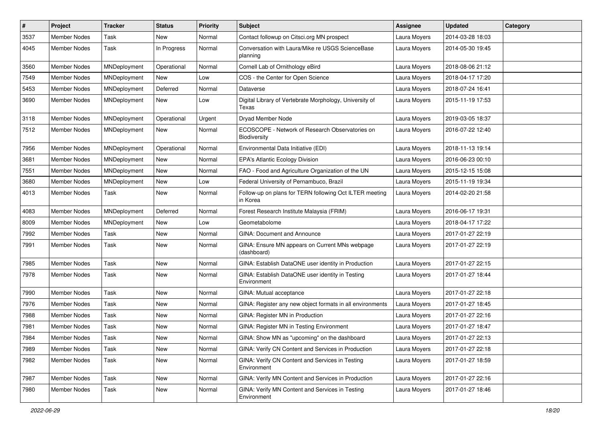| #    | Project             | <b>Tracker</b>      | <b>Status</b> | <b>Priority</b> | <b>Subject</b>                                                      | Assignee     | <b>Updated</b>   | Category |
|------|---------------------|---------------------|---------------|-----------------|---------------------------------------------------------------------|--------------|------------------|----------|
| 3537 | <b>Member Nodes</b> | Task                | New           | Normal          | Contact followup on Citsci.org MN prospect                          | Laura Moyers | 2014-03-28 18:03 |          |
| 4045 | <b>Member Nodes</b> | Task                | In Progress   | Normal          | Conversation with Laura/Mike re USGS ScienceBase<br>planning        | Laura Moyers | 2014-05-30 19:45 |          |
| 3560 | <b>Member Nodes</b> | MNDeployment        | Operational   | Normal          | Cornell Lab of Ornithology eBird                                    | Laura Moyers | 2018-08-06 21:12 |          |
| 7549 | <b>Member Nodes</b> | MNDeployment        | New           | Low             | COS - the Center for Open Science                                   | Laura Moyers | 2018-04-17 17:20 |          |
| 5453 | <b>Member Nodes</b> | MNDeployment        | Deferred      | Normal          | Dataverse                                                           | Laura Moyers | 2018-07-24 16:41 |          |
| 3690 | <b>Member Nodes</b> | MNDeployment        | New           | Low             | Digital Library of Vertebrate Morphology, University of<br>Texas    | Laura Moyers | 2015-11-19 17:53 |          |
| 3118 | <b>Member Nodes</b> | MNDeployment        | Operational   | Urgent          | Dryad Member Node                                                   | Laura Moyers | 2019-03-05 18:37 |          |
| 7512 | Member Nodes        | MNDeployment        | New           | Normal          | ECOSCOPE - Network of Research Observatories on<br>Biodiversity     | Laura Moyers | 2016-07-22 12:40 |          |
| 7956 | Member Nodes        | MNDeployment        | Operational   | Normal          | Environmental Data Initiative (EDI)                                 | Laura Moyers | 2018-11-13 19:14 |          |
| 3681 | <b>Member Nodes</b> | MNDeployment        | New           | Normal          | <b>EPA's Atlantic Ecology Division</b>                              | Laura Moyers | 2016-06-23 00:10 |          |
| 7551 | Member Nodes        | MNDeployment        | New           | Normal          | FAO - Food and Agriculture Organization of the UN                   | Laura Moyers | 2015-12-15 15:08 |          |
| 3680 | <b>Member Nodes</b> | MNDeployment        | <b>New</b>    | Low             | Federal University of Pernambuco, Brazil                            | Laura Moyers | 2015-11-19 19:34 |          |
| 4013 | Member Nodes        | Task                | New           | Normal          | Follow-up on plans for TERN following Oct ILTER meeting<br>in Korea | Laura Moyers | 2014-02-20 21:58 |          |
| 4083 | <b>Member Nodes</b> | MNDeployment        | Deferred      | Normal          | Forest Research Institute Malaysia (FRIM)                           | Laura Moyers | 2016-06-17 19:31 |          |
| 8009 | <b>Member Nodes</b> | <b>MNDeployment</b> | New           | Low             | Geometabolome                                                       | Laura Moyers | 2018-04-17 17:22 |          |
| 7992 | Member Nodes        | Task                | New           | Normal          | GINA: Document and Announce                                         | Laura Moyers | 2017-01-27 22:19 |          |
| 7991 | <b>Member Nodes</b> | Task                | New           | Normal          | GINA: Ensure MN appears on Current MNs webpage<br>(dashboard)       | Laura Moyers | 2017-01-27 22:19 |          |
| 7985 | <b>Member Nodes</b> | Task                | <b>New</b>    | Normal          | GINA: Establish DataONE user identity in Production                 | Laura Moyers | 2017-01-27 22:15 |          |
| 7978 | Member Nodes        | Task                | New           | Normal          | GINA: Establish DataONE user identity in Testing<br>Environment     | Laura Moyers | 2017-01-27 18:44 |          |
| 7990 | <b>Member Nodes</b> | Task                | <b>New</b>    | Normal          | GINA: Mutual acceptance                                             | Laura Moyers | 2017-01-27 22:18 |          |
| 7976 | <b>Member Nodes</b> | Task                | <b>New</b>    | Normal          | GINA: Register any new object formats in all environments           | Laura Moyers | 2017-01-27 18:45 |          |
| 7988 | <b>Member Nodes</b> | Task                | New           | Normal          | GINA: Register MN in Production                                     | Laura Moyers | 2017-01-27 22:16 |          |
| 7981 | <b>Member Nodes</b> | Task                | New           | Normal          | GINA: Register MN in Testing Environment                            | Laura Moyers | 2017-01-27 18:47 |          |
| 7984 | <b>Member Nodes</b> | Task                | New           | Normal          | GINA: Show MN as "upcoming" on the dashboard                        | Laura Moyers | 2017-01-27 22:13 |          |
| 7989 | Member Nodes        | Task                | New           | Normal          | GINA: Verify CN Content and Services in Production                  | Laura Moyers | 2017-01-27 22:18 |          |
| 7982 | Member Nodes        | Task                | New           | Normal          | GINA: Verify CN Content and Services in Testing<br>Environment      | Laura Moyers | 2017-01-27 18:59 |          |
| 7987 | <b>Member Nodes</b> | Task                | New           | Normal          | GINA: Verify MN Content and Services in Production                  | Laura Moyers | 2017-01-27 22:16 |          |
| 7980 | Member Nodes        | Task                | New           | Normal          | GINA: Verify MN Content and Services in Testing<br>Environment      | Laura Moyers | 2017-01-27 18:46 |          |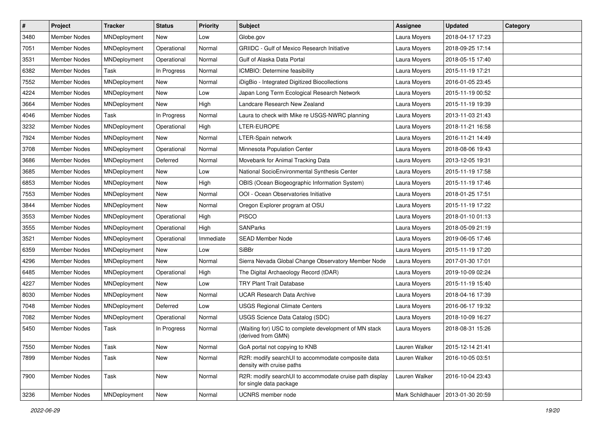| $\vert$ # | Project             | <b>Tracker</b> | <b>Status</b> | <b>Priority</b> | Subject                                                                            | <b>Assignee</b>  | <b>Updated</b>   | Category |
|-----------|---------------------|----------------|---------------|-----------------|------------------------------------------------------------------------------------|------------------|------------------|----------|
| 3480      | <b>Member Nodes</b> | MNDeployment   | New           | Low             | Globe.gov                                                                          | Laura Moyers     | 2018-04-17 17:23 |          |
| 7051      | <b>Member Nodes</b> | MNDeployment   | Operational   | Normal          | <b>GRIIDC</b> - Gulf of Mexico Research Initiative                                 | Laura Moyers     | 2018-09-25 17:14 |          |
| 3531      | Member Nodes        | MNDeployment   | Operational   | Normal          | Gulf of Alaska Data Portal                                                         | Laura Moyers     | 2018-05-15 17:40 |          |
| 6382      | Member Nodes        | Task           | In Progress   | Normal          | ICMBIO: Determine feasibility                                                      | Laura Moyers     | 2015-11-19 17:21 |          |
| 7552      | <b>Member Nodes</b> | MNDeployment   | New           | Normal          | iDigBio - Integrated Digitized Biocollections                                      | Laura Moyers     | 2016-01-05 23:45 |          |
| 4224      | Member Nodes        | MNDeployment   | New           | Low             | Japan Long Term Ecological Research Network                                        | Laura Moyers     | 2015-11-19 00:52 |          |
| 3664      | <b>Member Nodes</b> | MNDeployment   | <b>New</b>    | High            | Landcare Research New Zealand                                                      | Laura Moyers     | 2015-11-19 19:39 |          |
| 4046      | Member Nodes        | Task           | In Progress   | Normal          | Laura to check with Mike re USGS-NWRC planning                                     | Laura Moyers     | 2013-11-03 21:43 |          |
| 3232      | Member Nodes        | MNDeployment   | Operational   | High            | LTER-EUROPE                                                                        | Laura Moyers     | 2018-11-21 16:58 |          |
| 7924      | <b>Member Nodes</b> | MNDeployment   | <b>New</b>    | Normal          | LTER-Spain network                                                                 | Laura Moyers     | 2016-11-21 14:49 |          |
| 3708      | Member Nodes        | MNDeployment   | Operational   | Normal          | Minnesota Population Center                                                        | Laura Moyers     | 2018-08-06 19:43 |          |
| 3686      | Member Nodes        | MNDeployment   | Deferred      | Normal          | Movebank for Animal Tracking Data                                                  | Laura Moyers     | 2013-12-05 19:31 |          |
| 3685      | Member Nodes        | MNDeployment   | New           | Low             | National SocioEnvironmental Synthesis Center                                       | Laura Moyers     | 2015-11-19 17:58 |          |
| 6853      | Member Nodes        | MNDeployment   | New           | High            | OBIS (Ocean Biogeographic Information System)                                      | Laura Moyers     | 2015-11-19 17:46 |          |
| 7553      | <b>Member Nodes</b> | MNDeployment   | New           | Normal          | OOI - Ocean Observatories Initiative                                               | Laura Moyers     | 2018-01-25 17:51 |          |
| 3844      | <b>Member Nodes</b> | MNDeployment   | New           | Normal          | Oregon Explorer program at OSU                                                     | Laura Moyers     | 2015-11-19 17:22 |          |
| 3553      | Member Nodes        | MNDeployment   | Operational   | High            | <b>PISCO</b>                                                                       | Laura Moyers     | 2018-01-10 01:13 |          |
| 3555      | <b>Member Nodes</b> | MNDeployment   | Operational   | High            | <b>SANParks</b>                                                                    | Laura Moyers     | 2018-05-09 21:19 |          |
| 3521      | Member Nodes        | MNDeployment   | Operational   | Immediate       | SEAD Member Node                                                                   | Laura Moyers     | 2019-06-05 17:46 |          |
| 6359      | <b>Member Nodes</b> | MNDeployment   | New           | Low             | SiBBr                                                                              | Laura Moyers     | 2015-11-19 17:20 |          |
| 4296      | Member Nodes        | MNDeployment   | New           | Normal          | Sierra Nevada Global Change Observatory Member Node                                | Laura Moyers     | 2017-01-30 17:01 |          |
| 6485      | Member Nodes        | MNDeployment   | Operational   | High            | The Digital Archaeology Record (tDAR)                                              | Laura Moyers     | 2019-10-09 02:24 |          |
| 4227      | <b>Member Nodes</b> | MNDeployment   | New           | Low             | <b>TRY Plant Trait Database</b>                                                    | Laura Moyers     | 2015-11-19 15:40 |          |
| 8030      | Member Nodes        | MNDeployment   | New           | Normal          | <b>UCAR Research Data Archive</b>                                                  | Laura Moyers     | 2018-04-16 17:39 |          |
| 7048      | <b>Member Nodes</b> | MNDeployment   | Deferred      | Low             | <b>USGS Regional Climate Centers</b>                                               | Laura Moyers     | 2016-06-17 19:32 |          |
| 7082      | <b>Member Nodes</b> | MNDeployment   | Operational   | Normal          | USGS Science Data Catalog (SDC)                                                    | Laura Moyers     | 2018-10-09 16:27 |          |
| 5450      | Member Nodes        | Task           | In Progress   | Normal          | (Waiting for) USC to complete development of MN stack<br>(derived from GMN)        | Laura Moyers     | 2018-08-31 15:26 |          |
| 7550      | <b>Member Nodes</b> | Task           | New           | Normal          | GoA portal not copying to KNB                                                      | Lauren Walker    | 2015-12-14 21:41 |          |
| 7899      | Member Nodes        | Task           | New           | Normal          | R2R: modify searchUI to accommodate composite data<br>density with cruise paths    | Lauren Walker    | 2016-10-05 03:51 |          |
| 7900      | Member Nodes        | Task           | New           | Normal          | R2R: modify searchUI to accommodate cruise path display<br>for single data package | Lauren Walker    | 2016-10-04 23:43 |          |
| 3236      | <b>Member Nodes</b> | MNDeployment   | New           | Normal          | UCNRS member node                                                                  | Mark Schildhauer | 2013-01-30 20:59 |          |